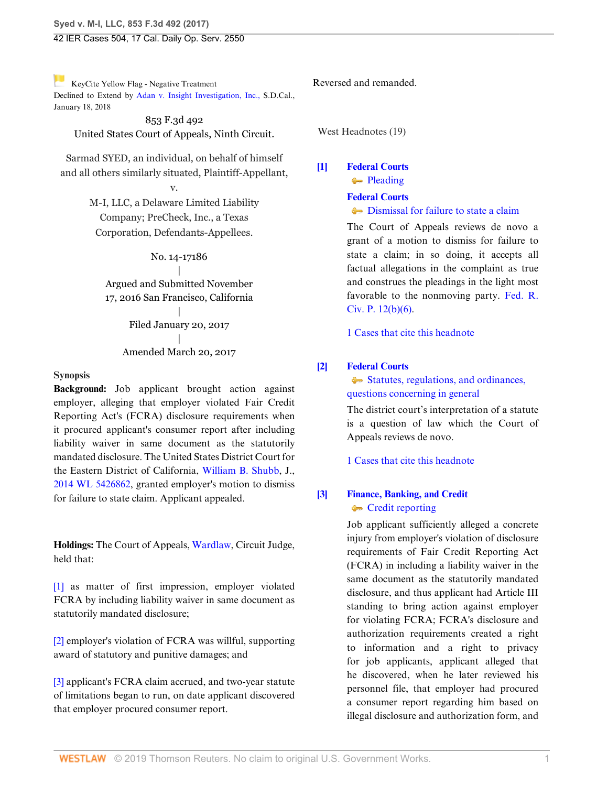[K](http://www.westlaw.com/Link/RelatedInformation/Flag?documentGuid=I34acc4f00de111e79277eb58f3dd13cc&transitionType=Document&originationContext=docHeaderFlag&contextData=(sc.Default))eyCite Yellow Flag - Negative Treatment

Declined to Extend by [Adan v. Insight Investigation, Inc.,](https://www.westlaw.com/Document/I2ed96ba0fd1911e7b565bb5dd3180177/View/FullText.html?navigationPath=RelatedInfo%2Fv4%2Fkeycite%2Fnav%2F%3Fguid%3DI2ed96ba0fd1911e7b565bb5dd3180177%26ss%3D2041261802%26ds%3D2043637993&listSource=RelatedInfo&list=NegativeCitingReferences&rank=0&originationContext=docHeader&transitionType=NegativeTreatment&contextData=%28sc.Default%29&VR=3.0&RS=cblt1.0 ) S.D.Cal., January 18, 2018

853 F.3d 492 United States Court of Appeals, Ninth Circuit.

Sarmad SYED, an individual, on behalf of himself and all others similarly situated, Plaintiff-Appellant,

v.

M-I, LLC, a Delaware Limited Liability Company; PreCheck, Inc., a Texas Corporation, Defendants-Appellees.

No. 14-17186

| Argued and Submitted November 17, 2016 San Francisco, California

> | Filed January 20, 2017 | Amended March 20, 2017

## **Synopsis**

**Background:** Job applicant brought action against employer, alleging that employer violated Fair Credit Reporting Act's (FCRA) disclosure requirements when it procured applicant's consumer report after including liability waiver in same document as the statutorily mandated disclosure. The United States District Court for the Eastern District of California, [William B. Shubb](http://www.westlaw.com/Link/Document/FullText?findType=h&pubNum=176284&cite=0243065301&originatingDoc=I34acc4f00de111e79277eb58f3dd13cc&refType=RQ&originationContext=document&vr=3.0&rs=cblt1.0&transitionType=DocumentItem&contextData=(sc.Default)), J., [2014 WL 5426862](http://www.westlaw.com/Link/Document/FullText?findType=Y&serNum=2034682822&pubNum=0000999&originatingDoc=I34acc4f00de111e79277eb58f3dd13cc&refType=RP&originationContext=document&vr=3.0&rs=cblt1.0&transitionType=DocumentItem&contextData=(sc.Default)), granted employer's motion to dismiss for failure to state claim. Applicant appealed.

**Holdings:** The Court of Appeals, [Wardlaw,](http://www.westlaw.com/Link/Document/FullText?findType=h&pubNum=176284&cite=0231873901&originatingDoc=I34acc4f00de111e79277eb58f3dd13cc&refType=RQ&originationContext=document&vr=3.0&rs=cblt1.0&transitionType=DocumentItem&contextData=(sc.Default)) Circuit Judge, held that:

[\[1\]](#page-1-0) as matter of first impression, employer violated FCRA by including liability waiver in same document as statutorily mandated disclosure;

[\[2\]](#page-2-0) employer's violation of FCRA was willful, supporting award of statutory and punitive damages; and

[\[3\]](#page-2-1) applicant's FCRA claim accrued, and two-year statute of limitations began to run, on date applicant discovered that employer procured consumer report.

Reversed and remanded.

West Headnotes (19)

<span id="page-0-0"></span>**[\[1\]](#page-6-0) [Federal Courts](http://www.westlaw.com/Browse/Home/KeyNumber/170B/View.html?docGuid=I34acc4f00de111e79277eb58f3dd13cc&originationContext=document&vr=3.0&rs=cblt1.0&transitionType=DocumentItem&contextData=(sc.Default))**

• [Pleading](http://www.westlaw.com/Browse/Home/KeyNumber/170Bk3587/View.html?docGuid=I34acc4f00de111e79277eb58f3dd13cc&originationContext=document&vr=3.0&rs=cblt1.0&transitionType=DocumentItem&contextData=(sc.Default))

**[Federal Courts](http://www.westlaw.com/Browse/Home/KeyNumber/170B/View.html?docGuid=I34acc4f00de111e79277eb58f3dd13cc&originationContext=document&vr=3.0&rs=cblt1.0&transitionType=DocumentItem&contextData=(sc.Default))**

[Dismissal for failure to state a claim](http://www.westlaw.com/Browse/Home/KeyNumber/170Bk3667/View.html?docGuid=I34acc4f00de111e79277eb58f3dd13cc&originationContext=document&vr=3.0&rs=cblt1.0&transitionType=DocumentItem&contextData=(sc.Default))

The Court of Appeals reviews de novo a grant of a motion to dismiss for failure to state a claim; in so doing, it accepts all factual allegations in the complaint as true and construes the pleadings in the light most favorable to the nonmoving party. [Fed. R.](http://www.westlaw.com/Link/Document/FullText?findType=L&pubNum=1000600&cite=USFRCPR12&originatingDoc=I34acc4f00de111e79277eb58f3dd13cc&refType=LQ&originationContext=document&vr=3.0&rs=cblt1.0&transitionType=DocumentItem&contextData=(sc.Default)) [Civ. P. 12\(b\)\(6\).](http://www.westlaw.com/Link/Document/FullText?findType=L&pubNum=1000600&cite=USFRCPR12&originatingDoc=I34acc4f00de111e79277eb58f3dd13cc&refType=LQ&originationContext=document&vr=3.0&rs=cblt1.0&transitionType=DocumentItem&contextData=(sc.Default))

[1 Cases that cite this headnote](http://www.westlaw.com/Link/RelatedInformation/DocHeadnoteLink?docGuid=I34acc4f00de111e79277eb58f3dd13cc&headnoteId=204126180200120180720231629&originationContext=document&vr=3.0&rs=cblt1.0&transitionType=CitingReferences&contextData=(sc.Default))

# <span id="page-0-1"></span>**[\[2\]](#page-6-1) [Federal Courts](http://www.westlaw.com/Browse/Home/KeyNumber/170B/View.html?docGuid=I34acc4f00de111e79277eb58f3dd13cc&originationContext=document&vr=3.0&rs=cblt1.0&transitionType=DocumentItem&contextData=(sc.Default))**

 $\blacklozenge$  [Statutes, regulations, and ordinances,](http://www.westlaw.com/Browse/Home/KeyNumber/170Bk3574/View.html?docGuid=I34acc4f00de111e79277eb58f3dd13cc&originationContext=document&vr=3.0&rs=cblt1.0&transitionType=DocumentItem&contextData=(sc.Default)) [questions concerning in general](http://www.westlaw.com/Browse/Home/KeyNumber/170Bk3574/View.html?docGuid=I34acc4f00de111e79277eb58f3dd13cc&originationContext=document&vr=3.0&rs=cblt1.0&transitionType=DocumentItem&contextData=(sc.Default))

The district court's interpretation of a statute is a question of law which the Court of Appeals reviews de novo.

[1 Cases that cite this headnote](http://www.westlaw.com/Link/RelatedInformation/DocHeadnoteLink?docGuid=I34acc4f00de111e79277eb58f3dd13cc&headnoteId=204126180200220180720231629&originationContext=document&vr=3.0&rs=cblt1.0&transitionType=CitingReferences&contextData=(sc.Default))

# <span id="page-0-2"></span>**[\[3\]](#page-6-2) [Finance, Banking, and Credit](http://www.westlaw.com/Browse/Home/KeyNumber/172H/View.html?docGuid=I34acc4f00de111e79277eb58f3dd13cc&originationContext=document&vr=3.0&rs=cblt1.0&transitionType=DocumentItem&contextData=(sc.Default)) [Credit reporting](http://www.westlaw.com/Browse/Home/KeyNumber/172Hk1597/View.html?docGuid=I34acc4f00de111e79277eb58f3dd13cc&originationContext=document&vr=3.0&rs=cblt1.0&transitionType=DocumentItem&contextData=(sc.Default))**

Job applicant sufficiently alleged a concrete injury from employer's violation of disclosure requirements of Fair Credit Reporting Act (FCRA) in including a liability waiver in the same document as the statutorily mandated disclosure, and thus applicant had Article III standing to bring action against employer for violating FCRA; FCRA's disclosure and authorization requirements created a right to information and a right to privacy for job applicants, applicant alleged that he discovered, when he later reviewed his personnel file, that employer had procured a consumer report regarding him based on illegal disclosure and authorization form, and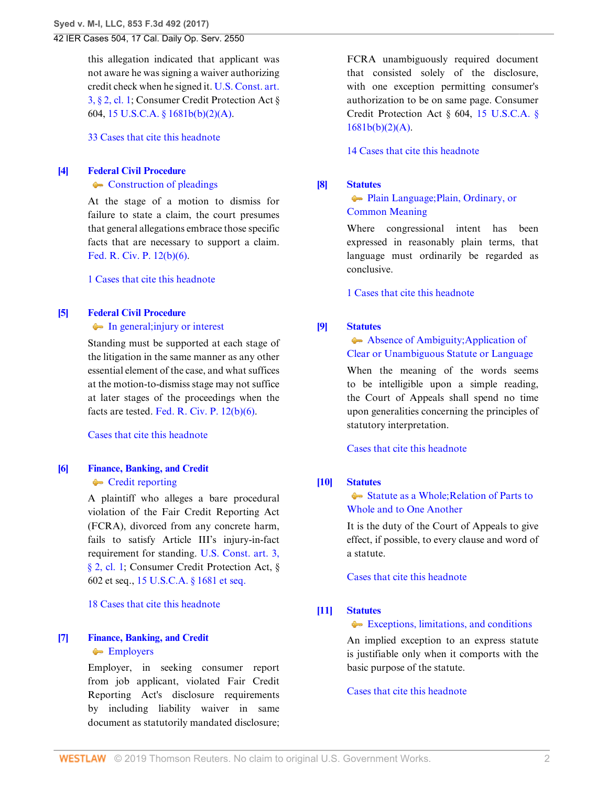this allegation indicated that applicant was not aware he was signing a waiver authorizing credit check when he signed it. [U.S. Const. art.](http://www.westlaw.com/Link/Document/FullText?findType=L&pubNum=1000583&cite=USCOARTIIIS2CL1&originatingDoc=I34acc4f00de111e79277eb58f3dd13cc&refType=LQ&originationContext=document&vr=3.0&rs=cblt1.0&transitionType=DocumentItem&contextData=(sc.Default)) [3, § 2, cl. 1](http://www.westlaw.com/Link/Document/FullText?findType=L&pubNum=1000583&cite=USCOARTIIIS2CL1&originatingDoc=I34acc4f00de111e79277eb58f3dd13cc&refType=LQ&originationContext=document&vr=3.0&rs=cblt1.0&transitionType=DocumentItem&contextData=(sc.Default)); Consumer Credit Protection Act § 604, [15 U.S.C.A. § 1681b\(b\)\(2\)\(A\)](http://www.westlaw.com/Link/Document/FullText?findType=L&pubNum=1000546&cite=15USCAS1681B&originatingDoc=I34acc4f00de111e79277eb58f3dd13cc&refType=SP&originationContext=document&vr=3.0&rs=cblt1.0&transitionType=DocumentItem&contextData=(sc.Default)#co_pp_1eca000045f07).

[33 Cases that cite this headnote](http://www.westlaw.com/Link/RelatedInformation/DocHeadnoteLink?docGuid=I34acc4f00de111e79277eb58f3dd13cc&headnoteId=204126180200420180720231629&originationContext=document&vr=3.0&rs=cblt1.0&transitionType=CitingReferences&contextData=(sc.Default))

#### <span id="page-1-1"></span>**[\[4\]](#page-6-3) [Federal Civil Procedure](http://www.westlaw.com/Browse/Home/KeyNumber/170A/View.html?docGuid=I34acc4f00de111e79277eb58f3dd13cc&originationContext=document&vr=3.0&rs=cblt1.0&transitionType=DocumentItem&contextData=(sc.Default))**

• [Construction of pleadings](http://www.westlaw.com/Browse/Home/KeyNumber/170Ak1829/View.html?docGuid=I34acc4f00de111e79277eb58f3dd13cc&originationContext=document&vr=3.0&rs=cblt1.0&transitionType=DocumentItem&contextData=(sc.Default))

At the stage of a motion to dismiss for failure to state a claim, the court presumes that general allegations embrace those specific facts that are necessary to support a claim. [Fed. R. Civ. P. 12\(b\)\(6\)](http://www.westlaw.com/Link/Document/FullText?findType=L&pubNum=1000600&cite=USFRCPR12&originatingDoc=I34acc4f00de111e79277eb58f3dd13cc&refType=LQ&originationContext=document&vr=3.0&rs=cblt1.0&transitionType=DocumentItem&contextData=(sc.Default)).

[1 Cases that cite this headnote](http://www.westlaw.com/Link/RelatedInformation/DocHeadnoteLink?docGuid=I34acc4f00de111e79277eb58f3dd13cc&headnoteId=204126180201820180720231629&originationContext=document&vr=3.0&rs=cblt1.0&transitionType=CitingReferences&contextData=(sc.Default))

### <span id="page-1-2"></span>**[\[5\]](#page-6-4) [Federal Civil Procedure](http://www.westlaw.com/Browse/Home/KeyNumber/170A/View.html?docGuid=I34acc4f00de111e79277eb58f3dd13cc&originationContext=document&vr=3.0&rs=cblt1.0&transitionType=DocumentItem&contextData=(sc.Default))**

• [In general; injury or interest](http://www.westlaw.com/Browse/Home/KeyNumber/170Ak103.2/View.html?docGuid=I34acc4f00de111e79277eb58f3dd13cc&originationContext=document&vr=3.0&rs=cblt1.0&transitionType=DocumentItem&contextData=(sc.Default))

Standing must be supported at each stage of the litigation in the same manner as any other essential element of the case, and what suffices at the motion-to-dismiss stage may not suffice at later stages of the proceedings when the facts are tested. [Fed. R. Civ. P. 12\(b\)\(6\).](http://www.westlaw.com/Link/Document/FullText?findType=L&pubNum=1000600&cite=USFRCPR12&originatingDoc=I34acc4f00de111e79277eb58f3dd13cc&refType=LQ&originationContext=document&vr=3.0&rs=cblt1.0&transitionType=DocumentItem&contextData=(sc.Default))

### [Cases that cite this headnote](http://www.westlaw.com/Link/RelatedInformation/DocHeadnoteLink?docGuid=I34acc4f00de111e79277eb58f3dd13cc&headnoteId=204126180201920180720231629&originationContext=document&vr=3.0&rs=cblt1.0&transitionType=CitingReferences&contextData=(sc.Default))

# <span id="page-1-3"></span>**[\[6\]](#page-6-5) [Finance, Banking, and Credit](http://www.westlaw.com/Browse/Home/KeyNumber/172H/View.html?docGuid=I34acc4f00de111e79277eb58f3dd13cc&originationContext=document&vr=3.0&rs=cblt1.0&transitionType=DocumentItem&contextData=(sc.Default))** [Credit reporting](http://www.westlaw.com/Browse/Home/KeyNumber/172Hk1597/View.html?docGuid=I34acc4f00de111e79277eb58f3dd13cc&originationContext=document&vr=3.0&rs=cblt1.0&transitionType=DocumentItem&contextData=(sc.Default))

A plaintiff who alleges a bare procedural violation of the Fair Credit Reporting Act (FCRA), divorced from any concrete harm, fails to satisfy Article III's injury-in-fact requirement for standing. [U.S. Const. art. 3,](http://www.westlaw.com/Link/Document/FullText?findType=L&pubNum=1000583&cite=USCOARTIIIS2CL1&originatingDoc=I34acc4f00de111e79277eb58f3dd13cc&refType=LQ&originationContext=document&vr=3.0&rs=cblt1.0&transitionType=DocumentItem&contextData=(sc.Default)) [§ 2, cl. 1;](http://www.westlaw.com/Link/Document/FullText?findType=L&pubNum=1000583&cite=USCOARTIIIS2CL1&originatingDoc=I34acc4f00de111e79277eb58f3dd13cc&refType=LQ&originationContext=document&vr=3.0&rs=cblt1.0&transitionType=DocumentItem&contextData=(sc.Default)) Consumer Credit Protection Act, § 602 et seq., [15 U.S.C.A. § 1681 et seq.](http://www.westlaw.com/Link/Document/FullText?findType=L&pubNum=1000546&cite=15USCAS1681&originatingDoc=I34acc4f00de111e79277eb58f3dd13cc&refType=LQ&originationContext=document&vr=3.0&rs=cblt1.0&transitionType=DocumentItem&contextData=(sc.Default))

## [18 Cases that cite this headnote](http://www.westlaw.com/Link/RelatedInformation/DocHeadnoteLink?docGuid=I34acc4f00de111e79277eb58f3dd13cc&headnoteId=204126180200320180720231629&originationContext=document&vr=3.0&rs=cblt1.0&transitionType=CitingReferences&contextData=(sc.Default))

# <span id="page-1-0"></span>**[\[7\]](#page-7-0) [Finance, Banking, and Credit](http://www.westlaw.com/Browse/Home/KeyNumber/172H/View.html?docGuid=I34acc4f00de111e79277eb58f3dd13cc&originationContext=document&vr=3.0&rs=cblt1.0&transitionType=DocumentItem&contextData=(sc.Default)) [Employers](http://www.westlaw.com/Browse/Home/KeyNumber/172Hk1436/View.html?docGuid=I34acc4f00de111e79277eb58f3dd13cc&originationContext=document&vr=3.0&rs=cblt1.0&transitionType=DocumentItem&contextData=(sc.Default))**

Employer, in seeking consumer report from job applicant, violated Fair Credit Reporting Act's disclosure requirements by including liability waiver in same document as statutorily mandated disclosure;

FCRA unambiguously required document that consisted solely of the disclosure, with one exception permitting consumer's authorization to be on same page. Consumer Credit Protection Act § 604, [15 U.S.C.A. §](http://www.westlaw.com/Link/Document/FullText?findType=L&pubNum=1000546&cite=15USCAS1681B&originatingDoc=I34acc4f00de111e79277eb58f3dd13cc&refType=SP&originationContext=document&vr=3.0&rs=cblt1.0&transitionType=DocumentItem&contextData=(sc.Default)#co_pp_1eca000045f07)  $1681b(b)(2)(A)$ .

[14 Cases that cite this headnote](http://www.westlaw.com/Link/RelatedInformation/DocHeadnoteLink?docGuid=I34acc4f00de111e79277eb58f3dd13cc&headnoteId=204126180200520180720231629&originationContext=document&vr=3.0&rs=cblt1.0&transitionType=CitingReferences&contextData=(sc.Default))

## <span id="page-1-4"></span>**[\[8\]](#page-7-1) [Statutes](http://www.westlaw.com/Browse/Home/KeyNumber/361/View.html?docGuid=I34acc4f00de111e79277eb58f3dd13cc&originationContext=document&vr=3.0&rs=cblt1.0&transitionType=DocumentItem&contextData=(sc.Default))**

**[Plain Language; Plain, Ordinary, or](http://www.westlaw.com/Browse/Home/KeyNumber/361III(B)/View.html?docGuid=I34acc4f00de111e79277eb58f3dd13cc&originationContext=document&vr=3.0&rs=cblt1.0&transitionType=DocumentItem&contextData=(sc.Default))** [Common Meaning](http://www.westlaw.com/Browse/Home/KeyNumber/361III(B)/View.html?docGuid=I34acc4f00de111e79277eb58f3dd13cc&originationContext=document&vr=3.0&rs=cblt1.0&transitionType=DocumentItem&contextData=(sc.Default))

Where congressional intent has been expressed in reasonably plain terms, that language must ordinarily be regarded as conclusive.

[1 Cases that cite this headnote](http://www.westlaw.com/Link/RelatedInformation/DocHeadnoteLink?docGuid=I34acc4f00de111e79277eb58f3dd13cc&headnoteId=204126180200620180720231629&originationContext=document&vr=3.0&rs=cblt1.0&transitionType=CitingReferences&contextData=(sc.Default))

# <span id="page-1-5"></span>**[\[9\]](#page-7-2) [Statutes](http://www.westlaw.com/Browse/Home/KeyNumber/361/View.html?docGuid=I34acc4f00de111e79277eb58f3dd13cc&originationContext=document&vr=3.0&rs=cblt1.0&transitionType=DocumentItem&contextData=(sc.Default))**

# [Absence of Ambiguity; Application of](http://www.westlaw.com/Browse/Home/KeyNumber/361k1107/View.html?docGuid=I34acc4f00de111e79277eb58f3dd13cc&originationContext=document&vr=3.0&rs=cblt1.0&transitionType=DocumentItem&contextData=(sc.Default)) [Clear or Unambiguous Statute or Language](http://www.westlaw.com/Browse/Home/KeyNumber/361k1107/View.html?docGuid=I34acc4f00de111e79277eb58f3dd13cc&originationContext=document&vr=3.0&rs=cblt1.0&transitionType=DocumentItem&contextData=(sc.Default))

When the meaning of the words seems to be intelligible upon a simple reading, the Court of Appeals shall spend no time upon generalities concerning the principles of statutory interpretation.

[Cases that cite this headnote](http://www.westlaw.com/Link/RelatedInformation/DocHeadnoteLink?docGuid=I34acc4f00de111e79277eb58f3dd13cc&headnoteId=204126180200720180720231629&originationContext=document&vr=3.0&rs=cblt1.0&transitionType=CitingReferences&contextData=(sc.Default))

# <span id="page-1-6"></span>**[\[10\]](#page-8-0) [Statutes](http://www.westlaw.com/Browse/Home/KeyNumber/361/View.html?docGuid=I34acc4f00de111e79277eb58f3dd13cc&originationContext=document&vr=3.0&rs=cblt1.0&transitionType=DocumentItem&contextData=(sc.Default))**

# Statute as a Whole: Relation of Parts to [Whole and to One Another](http://www.westlaw.com/Browse/Home/KeyNumber/361III(E)/View.html?docGuid=I34acc4f00de111e79277eb58f3dd13cc&originationContext=document&vr=3.0&rs=cblt1.0&transitionType=DocumentItem&contextData=(sc.Default))

It is the duty of the Court of Appeals to give effect, if possible, to every clause and word of a statute.

[Cases that cite this headnote](http://www.westlaw.com/Link/RelatedInformation/DocHeadnoteLink?docGuid=I34acc4f00de111e79277eb58f3dd13cc&headnoteId=204126180200820180720231629&originationContext=document&vr=3.0&rs=cblt1.0&transitionType=CitingReferences&contextData=(sc.Default))

# <span id="page-1-7"></span>**[\[11\]](#page-8-1) [Statutes](http://www.westlaw.com/Browse/Home/KeyNumber/361/View.html?docGuid=I34acc4f00de111e79277eb58f3dd13cc&originationContext=document&vr=3.0&rs=cblt1.0&transitionType=DocumentItem&contextData=(sc.Default))**

# [Exceptions, limitations, and conditions](http://www.westlaw.com/Browse/Home/KeyNumber/361k1376/View.html?docGuid=I34acc4f00de111e79277eb58f3dd13cc&originationContext=document&vr=3.0&rs=cblt1.0&transitionType=DocumentItem&contextData=(sc.Default))

An implied exception to an express statute is justifiable only when it comports with the basic purpose of the statute.

[Cases that cite this headnote](http://www.westlaw.com/Link/RelatedInformation/DocHeadnoteLink?docGuid=I34acc4f00de111e79277eb58f3dd13cc&headnoteId=204126180200920180720231629&originationContext=document&vr=3.0&rs=cblt1.0&transitionType=CitingReferences&contextData=(sc.Default))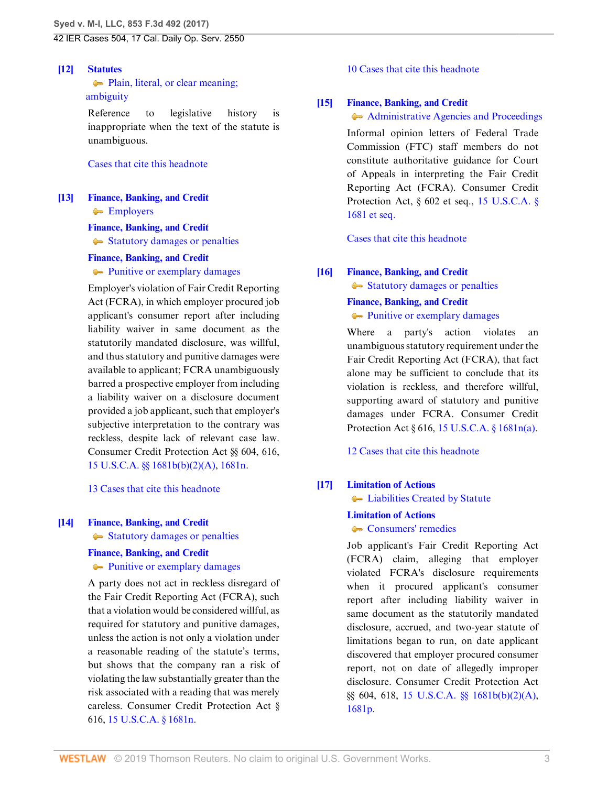## <span id="page-2-2"></span>**[\[12\]](#page-8-2) [Statutes](http://www.westlaw.com/Browse/Home/KeyNumber/361/View.html?docGuid=I34acc4f00de111e79277eb58f3dd13cc&originationContext=document&vr=3.0&rs=cblt1.0&transitionType=DocumentItem&contextData=(sc.Default))**

• Plain, literal, or clear meaning;  [ambiguity](http://www.westlaw.com/Browse/Home/KeyNumber/361k1242/View.html?docGuid=I34acc4f00de111e79277eb58f3dd13cc&originationContext=document&vr=3.0&rs=cblt1.0&transitionType=DocumentItem&contextData=(sc.Default))

Reference to legislative history is inappropriate when the text of the statute is unambiguous.

[Cases that cite this headnote](http://www.westlaw.com/Link/RelatedInformation/DocHeadnoteLink?docGuid=I34acc4f00de111e79277eb58f3dd13cc&headnoteId=204126180201020180720231629&originationContext=document&vr=3.0&rs=cblt1.0&transitionType=CitingReferences&contextData=(sc.Default))

# <span id="page-2-0"></span>**[\[13\]](#page-9-0) [Finance, Banking, and Credit](http://www.westlaw.com/Browse/Home/KeyNumber/172H/View.html?docGuid=I34acc4f00de111e79277eb58f3dd13cc&originationContext=document&vr=3.0&rs=cblt1.0&transitionType=DocumentItem&contextData=(sc.Default)) [Employers](http://www.westlaw.com/Browse/Home/KeyNumber/172Hk1436/View.html?docGuid=I34acc4f00de111e79277eb58f3dd13cc&originationContext=document&vr=3.0&rs=cblt1.0&transitionType=DocumentItem&contextData=(sc.Default))**

**[Finance, Banking, and Credit](http://www.westlaw.com/Browse/Home/KeyNumber/172H/View.html?docGuid=I34acc4f00de111e79277eb58f3dd13cc&originationContext=document&vr=3.0&rs=cblt1.0&transitionType=DocumentItem&contextData=(sc.Default))** [Statutory damages or penalties](http://www.westlaw.com/Browse/Home/KeyNumber/172Hk1649/View.html?docGuid=I34acc4f00de111e79277eb58f3dd13cc&originationContext=document&vr=3.0&rs=cblt1.0&transitionType=DocumentItem&contextData=(sc.Default))

## **[Finance, Banking, and Credit](http://www.westlaw.com/Browse/Home/KeyNumber/172H/View.html?docGuid=I34acc4f00de111e79277eb58f3dd13cc&originationContext=document&vr=3.0&rs=cblt1.0&transitionType=DocumentItem&contextData=(sc.Default)) [Punitive or exemplary damages](http://www.westlaw.com/Browse/Home/KeyNumber/172Hk1651/View.html?docGuid=I34acc4f00de111e79277eb58f3dd13cc&originationContext=document&vr=3.0&rs=cblt1.0&transitionType=DocumentItem&contextData=(sc.Default))**

Employer's violation of Fair Credit Reporting Act (FCRA), in which employer procured job applicant's consumer report after including liability waiver in same document as the statutorily mandated disclosure, was willful, and thus statutory and punitive damages were available to applicant; FCRA unambiguously barred a prospective employer from including a liability waiver on a disclosure document provided a job applicant, such that employer's subjective interpretation to the contrary was reckless, despite lack of relevant case law. Consumer Credit Protection Act §§ 604, 616, [15 U.S.C.A. §§ 1681b\(b\)\(2\)\(A\),](http://www.westlaw.com/Link/Document/FullText?findType=L&pubNum=1000546&cite=15USCAS1681B&originatingDoc=I34acc4f00de111e79277eb58f3dd13cc&refType=SP&originationContext=document&vr=3.0&rs=cblt1.0&transitionType=DocumentItem&contextData=(sc.Default)#co_pp_1eca000045f07) [1681n.](http://www.westlaw.com/Link/Document/FullText?findType=L&pubNum=1000546&cite=15USCAS1681N&originatingDoc=I34acc4f00de111e79277eb58f3dd13cc&refType=LQ&originationContext=document&vr=3.0&rs=cblt1.0&transitionType=DocumentItem&contextData=(sc.Default))

[13 Cases that cite this headnote](http://www.westlaw.com/Link/RelatedInformation/DocHeadnoteLink?docGuid=I34acc4f00de111e79277eb58f3dd13cc&headnoteId=204126180201120180720231629&originationContext=document&vr=3.0&rs=cblt1.0&transitionType=CitingReferences&contextData=(sc.Default))

### <span id="page-2-3"></span>**[\[14\]](#page-9-1) [Finance, Banking, and Credit](http://www.westlaw.com/Browse/Home/KeyNumber/172H/View.html?docGuid=I34acc4f00de111e79277eb58f3dd13cc&originationContext=document&vr=3.0&rs=cblt1.0&transitionType=DocumentItem&contextData=(sc.Default))**

• [Statutory damages or penalties](http://www.westlaw.com/Browse/Home/KeyNumber/172Hk1649/View.html?docGuid=I34acc4f00de111e79277eb58f3dd13cc&originationContext=document&vr=3.0&rs=cblt1.0&transitionType=DocumentItem&contextData=(sc.Default))

**[Finance, Banking, and Credit](http://www.westlaw.com/Browse/Home/KeyNumber/172H/View.html?docGuid=I34acc4f00de111e79277eb58f3dd13cc&originationContext=document&vr=3.0&rs=cblt1.0&transitionType=DocumentItem&contextData=(sc.Default))**

**[Punitive or exemplary damages](http://www.westlaw.com/Browse/Home/KeyNumber/172Hk1651/View.html?docGuid=I34acc4f00de111e79277eb58f3dd13cc&originationContext=document&vr=3.0&rs=cblt1.0&transitionType=DocumentItem&contextData=(sc.Default))** 

A party does not act in reckless disregard of the Fair Credit Reporting Act (FCRA), such that a violation would be considered willful, as required for statutory and punitive damages, unless the action is not only a violation under a reasonable reading of the statute's terms, but shows that the company ran a risk of violating the law substantially greater than the risk associated with a reading that was merely careless. Consumer Credit Protection Act § 616, [15 U.S.C.A. § 1681n](http://www.westlaw.com/Link/Document/FullText?findType=L&pubNum=1000546&cite=15USCAS1681N&originatingDoc=I34acc4f00de111e79277eb58f3dd13cc&refType=LQ&originationContext=document&vr=3.0&rs=cblt1.0&transitionType=DocumentItem&contextData=(sc.Default)).

[10 Cases that cite this headnote](http://www.westlaw.com/Link/RelatedInformation/DocHeadnoteLink?docGuid=I34acc4f00de111e79277eb58f3dd13cc&headnoteId=204126180201220180720231629&originationContext=document&vr=3.0&rs=cblt1.0&transitionType=CitingReferences&contextData=(sc.Default))

#### <span id="page-2-4"></span>**[\[15\]](#page-9-2) [Finance, Banking, and Credit](http://www.westlaw.com/Browse/Home/KeyNumber/172H/View.html?docGuid=I34acc4f00de111e79277eb58f3dd13cc&originationContext=document&vr=3.0&rs=cblt1.0&transitionType=DocumentItem&contextData=(sc.Default))**

[Administrative Agencies and Proceedings](http://www.westlaw.com/Browse/Home/KeyNumber/172HXVI(K)3/View.html?docGuid=I34acc4f00de111e79277eb58f3dd13cc&originationContext=document&vr=3.0&rs=cblt1.0&transitionType=DocumentItem&contextData=(sc.Default))

Informal opinion letters of Federal Trade Commission (FTC) staff members do not constitute authoritative guidance for Court of Appeals in interpreting the Fair Credit Reporting Act (FCRA). Consumer Credit Protection Act, § 602 et seq., [15 U.S.C.A. §](http://www.westlaw.com/Link/Document/FullText?findType=L&pubNum=1000546&cite=15USCAS1681&originatingDoc=I34acc4f00de111e79277eb58f3dd13cc&refType=LQ&originationContext=document&vr=3.0&rs=cblt1.0&transitionType=DocumentItem&contextData=(sc.Default)) [1681 et seq.](http://www.westlaw.com/Link/Document/FullText?findType=L&pubNum=1000546&cite=15USCAS1681&originatingDoc=I34acc4f00de111e79277eb58f3dd13cc&refType=LQ&originationContext=document&vr=3.0&rs=cblt1.0&transitionType=DocumentItem&contextData=(sc.Default))

[Cases that cite this headnote](http://www.westlaw.com/Link/RelatedInformation/DocHeadnoteLink?docGuid=I34acc4f00de111e79277eb58f3dd13cc&headnoteId=204126180201620180720231629&originationContext=document&vr=3.0&rs=cblt1.0&transitionType=CitingReferences&contextData=(sc.Default))

### <span id="page-2-5"></span>**[\[16\]](#page-10-0) [Finance, Banking, and Credit](http://www.westlaw.com/Browse/Home/KeyNumber/172H/View.html?docGuid=I34acc4f00de111e79277eb58f3dd13cc&originationContext=document&vr=3.0&rs=cblt1.0&transitionType=DocumentItem&contextData=(sc.Default))**

• [Statutory damages or penalties](http://www.westlaw.com/Browse/Home/KeyNumber/172Hk1649/View.html?docGuid=I34acc4f00de111e79277eb58f3dd13cc&originationContext=document&vr=3.0&rs=cblt1.0&transitionType=DocumentItem&contextData=(sc.Default))

#### **[Finance, Banking, and Credit](http://www.westlaw.com/Browse/Home/KeyNumber/172H/View.html?docGuid=I34acc4f00de111e79277eb58f3dd13cc&originationContext=document&vr=3.0&rs=cblt1.0&transitionType=DocumentItem&contextData=(sc.Default))**

**[Punitive or exemplary damages](http://www.westlaw.com/Browse/Home/KeyNumber/172Hk1651/View.html?docGuid=I34acc4f00de111e79277eb58f3dd13cc&originationContext=document&vr=3.0&rs=cblt1.0&transitionType=DocumentItem&contextData=(sc.Default))** 

Where a party's action violates an unambiguous statutory requirement under the Fair Credit Reporting Act (FCRA), that fact alone may be sufficient to conclude that its violation is reckless, and therefore willful, supporting award of statutory and punitive damages under FCRA. Consumer Credit Protection Act § 616, [15 U.S.C.A. § 1681n\(a\)](http://www.westlaw.com/Link/Document/FullText?findType=L&pubNum=1000546&cite=15USCAS1681N&originatingDoc=I34acc4f00de111e79277eb58f3dd13cc&refType=SP&originationContext=document&vr=3.0&rs=cblt1.0&transitionType=DocumentItem&contextData=(sc.Default)#co_pp_8b3b0000958a4).

[12 Cases that cite this headnote](http://www.westlaw.com/Link/RelatedInformation/DocHeadnoteLink?docGuid=I34acc4f00de111e79277eb58f3dd13cc&headnoteId=204126180201720180720231629&originationContext=document&vr=3.0&rs=cblt1.0&transitionType=CitingReferences&contextData=(sc.Default))

## <span id="page-2-1"></span>**[\[17\]](#page-11-0) [Limitation of Actions](http://www.westlaw.com/Browse/Home/KeyNumber/241/View.html?docGuid=I34acc4f00de111e79277eb58f3dd13cc&originationContext=document&vr=3.0&rs=cblt1.0&transitionType=DocumentItem&contextData=(sc.Default))**

**Exercise Created by Statute** 

#### **[Limitation of Actions](http://www.westlaw.com/Browse/Home/KeyNumber/241/View.html?docGuid=I34acc4f00de111e79277eb58f3dd13cc&originationContext=document&vr=3.0&rs=cblt1.0&transitionType=DocumentItem&contextData=(sc.Default))**

#### **[Consumers' remedies](http://www.westlaw.com/Browse/Home/KeyNumber/241k95(16)/View.html?docGuid=I34acc4f00de111e79277eb58f3dd13cc&originationContext=document&vr=3.0&rs=cblt1.0&transitionType=DocumentItem&contextData=(sc.Default))**

Job applicant's Fair Credit Reporting Act (FCRA) claim, alleging that employer violated FCRA's disclosure requirements when it procured applicant's consumer report after including liability waiver in same document as the statutorily mandated disclosure, accrued, and two-year statute of limitations began to run, on date applicant discovered that employer procured consumer report, not on date of allegedly improper disclosure. Consumer Credit Protection Act §§ 604, 618, [15 U.S.C.A. §§ 1681b\(b\)\(2\)\(A\),](http://www.westlaw.com/Link/Document/FullText?findType=L&pubNum=1000546&cite=15USCAS1681B&originatingDoc=I34acc4f00de111e79277eb58f3dd13cc&refType=SP&originationContext=document&vr=3.0&rs=cblt1.0&transitionType=DocumentItem&contextData=(sc.Default)#co_pp_1eca000045f07) [1681p](http://www.westlaw.com/Link/Document/FullText?findType=L&pubNum=1000546&cite=15USCAS1681P&originatingDoc=I34acc4f00de111e79277eb58f3dd13cc&refType=LQ&originationContext=document&vr=3.0&rs=cblt1.0&transitionType=DocumentItem&contextData=(sc.Default)).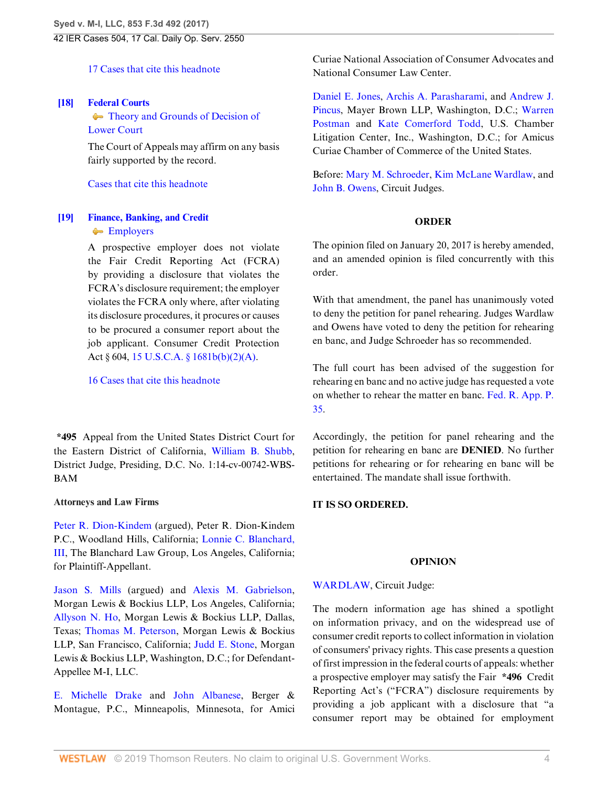## [17 Cases that cite this headnote](http://www.westlaw.com/Link/RelatedInformation/DocHeadnoteLink?docGuid=I34acc4f00de111e79277eb58f3dd13cc&headnoteId=204126180201520180720231629&originationContext=document&vr=3.0&rs=cblt1.0&transitionType=CitingReferences&contextData=(sc.Default))

#### <span id="page-3-0"></span>**[\[18\]](#page-11-1) [Federal Courts](http://www.westlaw.com/Browse/Home/KeyNumber/170B/View.html?docGuid=I34acc4f00de111e79277eb58f3dd13cc&originationContext=document&vr=3.0&rs=cblt1.0&transitionType=DocumentItem&contextData=(sc.Default))**

• [Theory and Grounds of Decision of](http://www.westlaw.com/Browse/Home/KeyNumber/170Bk3548/View.html?docGuid=I34acc4f00de111e79277eb58f3dd13cc&originationContext=document&vr=3.0&rs=cblt1.0&transitionType=DocumentItem&contextData=(sc.Default)) [Lower Court](http://www.westlaw.com/Browse/Home/KeyNumber/170Bk3548/View.html?docGuid=I34acc4f00de111e79277eb58f3dd13cc&originationContext=document&vr=3.0&rs=cblt1.0&transitionType=DocumentItem&contextData=(sc.Default))

The Court of Appeals may affirm on any basis fairly supported by the record.

#### [Cases that cite this headnote](http://www.westlaw.com/Link/RelatedInformation/DocHeadnoteLink?docGuid=I34acc4f00de111e79277eb58f3dd13cc&headnoteId=204126180201320180720231629&originationContext=document&vr=3.0&rs=cblt1.0&transitionType=CitingReferences&contextData=(sc.Default))

## <span id="page-3-1"></span>**[\[19\]](#page-11-2) [Finance, Banking, and Credit](http://www.westlaw.com/Browse/Home/KeyNumber/172H/View.html?docGuid=I34acc4f00de111e79277eb58f3dd13cc&originationContext=document&vr=3.0&rs=cblt1.0&transitionType=DocumentItem&contextData=(sc.Default)) [Employers](http://www.westlaw.com/Browse/Home/KeyNumber/172Hk1436/View.html?docGuid=I34acc4f00de111e79277eb58f3dd13cc&originationContext=document&vr=3.0&rs=cblt1.0&transitionType=DocumentItem&contextData=(sc.Default))**

A prospective employer does not violate the Fair Credit Reporting Act (FCRA) by providing a disclosure that violates the FCRA's disclosure requirement; the employer violates the FCRA only where, after violating its disclosure procedures, it procures or causes to be procured a consumer report about the job applicant. Consumer Credit Protection Act § 604, [15 U.S.C.A. § 1681b\(b\)\(2\)\(A\).](http://www.westlaw.com/Link/Document/FullText?findType=L&pubNum=1000546&cite=15USCAS1681B&originatingDoc=I34acc4f00de111e79277eb58f3dd13cc&refType=SP&originationContext=document&vr=3.0&rs=cblt1.0&transitionType=DocumentItem&contextData=(sc.Default)#co_pp_1eca000045f07)

#### [16 Cases that cite this headnote](http://www.westlaw.com/Link/RelatedInformation/DocHeadnoteLink?docGuid=I34acc4f00de111e79277eb58f3dd13cc&headnoteId=204126180201420180720231629&originationContext=document&vr=3.0&rs=cblt1.0&transitionType=CitingReferences&contextData=(sc.Default))

**\*495** Appeal from the United States District Court for the Eastern District of California, [William B. Shubb](http://www.westlaw.com/Link/Document/FullText?findType=h&pubNum=176284&cite=0243065301&originatingDoc=I34acc4f00de111e79277eb58f3dd13cc&refType=RQ&originationContext=document&vr=3.0&rs=cblt1.0&transitionType=DocumentItem&contextData=(sc.Default)), District Judge, Presiding, D.C. No. 1:14-cv-00742-WBS-BAM

### **Attorneys and Law Firms**

[Peter R. Dion-Kindem](http://www.westlaw.com/Link/Document/FullText?findType=h&pubNum=176284&cite=0344432001&originatingDoc=I34acc4f00de111e79277eb58f3dd13cc&refType=RQ&originationContext=document&vr=3.0&rs=cblt1.0&transitionType=DocumentItem&contextData=(sc.Default)) (argued), Peter R. Dion-Kindem P.C., Woodland Hills, California; [Lonnie C. Blanchard,](http://www.westlaw.com/Link/Document/FullText?findType=h&pubNum=176284&cite=0162590501&originatingDoc=I34acc4f00de111e79277eb58f3dd13cc&refType=RQ&originationContext=document&vr=3.0&rs=cblt1.0&transitionType=DocumentItem&contextData=(sc.Default)) [III,](http://www.westlaw.com/Link/Document/FullText?findType=h&pubNum=176284&cite=0162590501&originatingDoc=I34acc4f00de111e79277eb58f3dd13cc&refType=RQ&originationContext=document&vr=3.0&rs=cblt1.0&transitionType=DocumentItem&contextData=(sc.Default)) The Blanchard Law Group, Los Angeles, California; for Plaintiff-Appellant.

[Jason S. Mills](http://www.westlaw.com/Link/Document/FullText?findType=h&pubNum=176284&cite=0351250901&originatingDoc=I34acc4f00de111e79277eb58f3dd13cc&refType=RQ&originationContext=document&vr=3.0&rs=cblt1.0&transitionType=DocumentItem&contextData=(sc.Default)) (argued) and [Alexis M. Gabrielson](http://www.westlaw.com/Link/Document/FullText?findType=h&pubNum=176284&cite=0493608099&originatingDoc=I34acc4f00de111e79277eb58f3dd13cc&refType=RQ&originationContext=document&vr=3.0&rs=cblt1.0&transitionType=DocumentItem&contextData=(sc.Default)), Morgan Lewis & Bockius LLP, Los Angeles, California; [Allyson N. Ho,](http://www.westlaw.com/Link/Document/FullText?findType=h&pubNum=176284&cite=0369617501&originatingDoc=I34acc4f00de111e79277eb58f3dd13cc&refType=RQ&originationContext=document&vr=3.0&rs=cblt1.0&transitionType=DocumentItem&contextData=(sc.Default)) Morgan Lewis & Bockius LLP, Dallas, Texas; [Thomas M. Peterson](http://www.westlaw.com/Link/Document/FullText?findType=h&pubNum=176284&cite=0167765101&originatingDoc=I34acc4f00de111e79277eb58f3dd13cc&refType=RQ&originationContext=document&vr=3.0&rs=cblt1.0&transitionType=DocumentItem&contextData=(sc.Default)), Morgan Lewis & Bockius LLP, San Francisco, California; [Judd E. Stone](http://www.westlaw.com/Link/Document/FullText?findType=h&pubNum=176284&cite=0499655599&originatingDoc=I34acc4f00de111e79277eb58f3dd13cc&refType=RQ&originationContext=document&vr=3.0&rs=cblt1.0&transitionType=DocumentItem&contextData=(sc.Default)), Morgan Lewis & Bockius LLP, Washington, D.C.; for Defendant-Appellee M-I, LLC.

[E. Michelle Drake](http://www.westlaw.com/Link/Document/FullText?findType=h&pubNum=176284&cite=0386276401&originatingDoc=I34acc4f00de111e79277eb58f3dd13cc&refType=RQ&originationContext=document&vr=3.0&rs=cblt1.0&transitionType=DocumentItem&contextData=(sc.Default)) and [John Albanese,](http://www.westlaw.com/Link/Document/FullText?findType=h&pubNum=176284&cite=0486306201&originatingDoc=I34acc4f00de111e79277eb58f3dd13cc&refType=RQ&originationContext=document&vr=3.0&rs=cblt1.0&transitionType=DocumentItem&contextData=(sc.Default)) Berger & Montague, P.C., Minneapolis, Minnesota, for Amici Curiae National Association of Consumer Advocates and National Consumer Law Center.

[Daniel E. Jones](http://www.westlaw.com/Link/Document/FullText?findType=h&pubNum=176284&cite=0433341301&originatingDoc=I34acc4f00de111e79277eb58f3dd13cc&refType=RQ&originationContext=document&vr=3.0&rs=cblt1.0&transitionType=DocumentItem&contextData=(sc.Default)), [Archis A. Parasharami](http://www.westlaw.com/Link/Document/FullText?findType=h&pubNum=176284&cite=0335109801&originatingDoc=I34acc4f00de111e79277eb58f3dd13cc&refType=RQ&originationContext=document&vr=3.0&rs=cblt1.0&transitionType=DocumentItem&contextData=(sc.Default)), and [Andrew J.](http://www.westlaw.com/Link/Document/FullText?findType=h&pubNum=176284&cite=0335110001&originatingDoc=I34acc4f00de111e79277eb58f3dd13cc&refType=RQ&originationContext=document&vr=3.0&rs=cblt1.0&transitionType=DocumentItem&contextData=(sc.Default)) [Pincus](http://www.westlaw.com/Link/Document/FullText?findType=h&pubNum=176284&cite=0335110001&originatingDoc=I34acc4f00de111e79277eb58f3dd13cc&refType=RQ&originationContext=document&vr=3.0&rs=cblt1.0&transitionType=DocumentItem&contextData=(sc.Default)), Mayer Brown LLP, Washington, D.C.; [Warren](http://www.westlaw.com/Link/Document/FullText?findType=h&pubNum=176284&cite=0429172501&originatingDoc=I34acc4f00de111e79277eb58f3dd13cc&refType=RQ&originationContext=document&vr=3.0&rs=cblt1.0&transitionType=DocumentItem&contextData=(sc.Default)) [Postman](http://www.westlaw.com/Link/Document/FullText?findType=h&pubNum=176284&cite=0429172501&originatingDoc=I34acc4f00de111e79277eb58f3dd13cc&refType=RQ&originationContext=document&vr=3.0&rs=cblt1.0&transitionType=DocumentItem&contextData=(sc.Default)) and [Kate Comerford Todd](http://www.westlaw.com/Link/Document/FullText?findType=h&pubNum=176284&cite=0494866299&originatingDoc=I34acc4f00de111e79277eb58f3dd13cc&refType=RQ&originationContext=document&vr=3.0&rs=cblt1.0&transitionType=DocumentItem&contextData=(sc.Default)), U.S. Chamber Litigation Center, Inc., Washington, D.C.; for Amicus Curiae Chamber of Commerce of the United States.

Before: [Mary M. Schroeder,](http://www.westlaw.com/Link/Document/FullText?findType=h&pubNum=176284&cite=0258081801&originatingDoc=I34acc4f00de111e79277eb58f3dd13cc&refType=RQ&originationContext=document&vr=3.0&rs=cblt1.0&transitionType=DocumentItem&contextData=(sc.Default)) [Kim McLane Wardlaw,](http://www.westlaw.com/Link/Document/FullText?findType=h&pubNum=176284&cite=0231873901&originatingDoc=I34acc4f00de111e79277eb58f3dd13cc&refType=RQ&originationContext=document&vr=3.0&rs=cblt1.0&transitionType=DocumentItem&contextData=(sc.Default)) and [John B. Owens,](http://www.westlaw.com/Link/Document/FullText?findType=h&pubNum=176284&cite=0483904801&originatingDoc=I34acc4f00de111e79277eb58f3dd13cc&refType=RQ&originationContext=document&vr=3.0&rs=cblt1.0&transitionType=DocumentItem&contextData=(sc.Default)) Circuit Judges.

### **ORDER**

The opinion filed on January 20, 2017 is hereby amended, and an amended opinion is filed concurrently with this order.

With that amendment, the panel has unanimously voted to deny the petition for panel rehearing. Judges Wardlaw and Owens have voted to deny the petition for rehearing en banc, and Judge Schroeder has so recommended.

The full court has been advised of the suggestion for rehearing en banc and no active judge has requested a vote on whether to rehear the matter en banc. [Fed. R. App. P.](http://www.westlaw.com/Link/Document/FullText?findType=L&pubNum=1000599&cite=USFRAPR35&originatingDoc=I34acc4f00de111e79277eb58f3dd13cc&refType=LQ&originationContext=document&vr=3.0&rs=cblt1.0&transitionType=DocumentItem&contextData=(sc.Default)) [35](http://www.westlaw.com/Link/Document/FullText?findType=L&pubNum=1000599&cite=USFRAPR35&originatingDoc=I34acc4f00de111e79277eb58f3dd13cc&refType=LQ&originationContext=document&vr=3.0&rs=cblt1.0&transitionType=DocumentItem&contextData=(sc.Default)).

Accordingly, the petition for panel rehearing and the petition for rehearing en banc are **DENIED**. No further petitions for rehearing or for rehearing en banc will be entertained. The mandate shall issue forthwith.

### **IT IS SO ORDERED.**

### **OPINION**

### [WARDLAW,](http://www.westlaw.com/Link/Document/FullText?findType=h&pubNum=176284&cite=0231873901&originatingDoc=I34acc4f00de111e79277eb58f3dd13cc&refType=RQ&originationContext=document&vr=3.0&rs=cblt1.0&transitionType=DocumentItem&contextData=(sc.Default)) Circuit Judge:

The modern information age has shined a spotlight on information privacy, and on the widespread use of consumer credit reports to collect information in violation of consumers' privacy rights. This case presents a question of first impression in the federal courts of appeals: whether a prospective employer may satisfy the Fair **\*496** Credit Reporting Act's ("FCRA") disclosure requirements by providing a job applicant with a disclosure that "a consumer report may be obtained for employment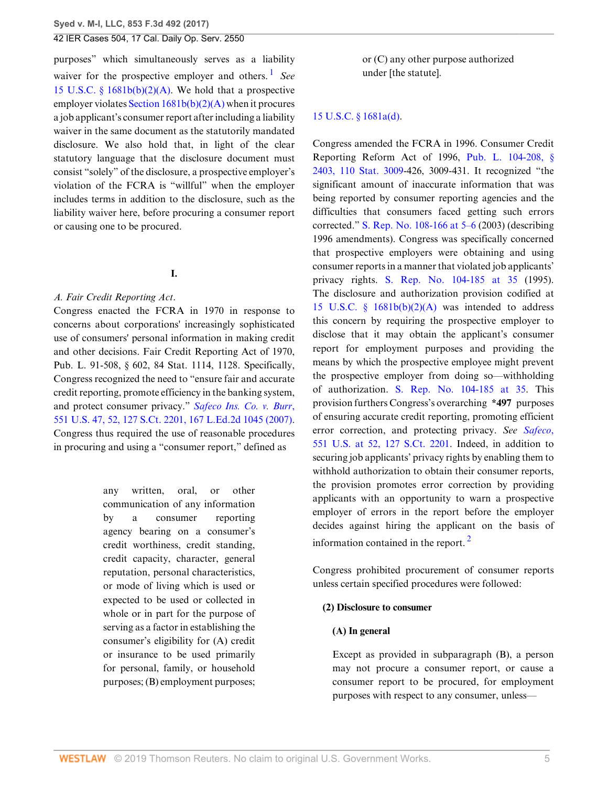purposes" which simultaneously serves as a liability waiver for the prospective employer and others.<sup>[1](#page-12-0)</sup> See 15 U.S.C. §  $1681b(b)(2)(A)$ . We hold that a prospective employer violates [Section 1681b\(b\)\(2\)\(A\)](http://www.westlaw.com/Link/Document/FullText?findType=L&pubNum=1000546&cite=15USCAS1681B&originatingDoc=I34acc4f00de111e79277eb58f3dd13cc&refType=SP&originationContext=document&vr=3.0&rs=cblt1.0&transitionType=DocumentItem&contextData=(sc.Default)#co_pp_1eca000045f07) when it procures a job applicant's consumer report after including a liability waiver in the same document as the statutorily mandated disclosure. We also hold that, in light of the clear statutory language that the disclosure document must consist "solely" of the disclosure, a prospective employer's violation of the FCRA is "willful" when the employer includes terms in addition to the disclosure, such as the liability waiver here, before procuring a consumer report or causing one to be procured.

#### **I.**

#### *A. Fair Credit Reporting Act*.

Congress enacted the FCRA in 1970 in response to concerns about corporations' increasingly sophisticated use of consumers' personal information in making credit and other decisions. Fair Credit Reporting Act of 1970, Pub. L. 91-508, § 602, 84 Stat. 1114, 1128. Specifically, Congress recognized the need to "ensure fair and accurate credit reporting, promote efficiency in the banking system, and protect consumer privacy." *[Safeco Ins. Co. v. Burr](http://www.westlaw.com/Link/Document/FullText?findType=Y&serNum=2012395817&pubNum=0000708&originatingDoc=I34acc4f00de111e79277eb58f3dd13cc&refType=RP&originationContext=document&vr=3.0&rs=cblt1.0&transitionType=DocumentItem&contextData=(sc.Default))*, [551 U.S. 47, 52, 127 S.Ct. 2201, 167 L.Ed.2d 1045 \(2007\)](http://www.westlaw.com/Link/Document/FullText?findType=Y&serNum=2012395817&pubNum=0000708&originatingDoc=I34acc4f00de111e79277eb58f3dd13cc&refType=RP&originationContext=document&vr=3.0&rs=cblt1.0&transitionType=DocumentItem&contextData=(sc.Default)). Congress thus required the use of reasonable procedures in procuring and using a "consumer report," defined as

> any written, oral, or other communication of any information by a consumer reporting agency bearing on a consumer's credit worthiness, credit standing, credit capacity, character, general reputation, personal characteristics, or mode of living which is used or expected to be used or collected in whole or in part for the purpose of serving as a factor in establishing the consumer's eligibility for (A) credit or insurance to be used primarily for personal, family, or household purposes; (B) employment purposes;

or (C) any other purpose authorized under [the statute].

#### <span id="page-4-0"></span>[15 U.S.C. § 1681a\(d\).](http://www.westlaw.com/Link/Document/FullText?findType=L&pubNum=1000546&cite=15USCAS1681A&originatingDoc=I34acc4f00de111e79277eb58f3dd13cc&refType=SP&originationContext=document&vr=3.0&rs=cblt1.0&transitionType=DocumentItem&contextData=(sc.Default)#co_pp_5ba1000067d06)

Congress amended the FCRA in 1996. Consumer Credit Reporting Reform Act of 1996, [Pub. L. 104-208, §](http://www.westlaw.com/Link/Document/FullText?findType=l&pubNum=1077005&cite=UUID(I747341D64B-9E4A43B3D8A-975AE78FBD0)&originatingDoc=I34acc4f00de111e79277eb58f3dd13cc&refType=SL&originationContext=document&vr=3.0&rs=cblt1.0&transitionType=DocumentItem&contextData=(sc.Default)) [2403, 110 Stat. 3009](http://www.westlaw.com/Link/Document/FullText?findType=l&pubNum=1077005&cite=UUID(I747341D64B-9E4A43B3D8A-975AE78FBD0)&originatingDoc=I34acc4f00de111e79277eb58f3dd13cc&refType=SL&originationContext=document&vr=3.0&rs=cblt1.0&transitionType=DocumentItem&contextData=(sc.Default))-426, 3009-431. It recognized "the significant amount of inaccurate information that was being reported by consumer reporting agencies and the difficulties that consumers faced getting such errors corrected." [S. Rep. No. 108-166 at 5–6](http://www.westlaw.com/Link/Document/FullText?findType=Y&serNum=0296050597&pubNum=0001503&originatingDoc=I34acc4f00de111e79277eb58f3dd13cc&refType=TV&originationContext=document&vr=3.0&rs=cblt1.0&transitionType=DocumentItem&contextData=(sc.Default)) (2003) (describing 1996 amendments). Congress was specifically concerned that prospective employers were obtaining and using consumer reports in a manner that violated job applicants' privacy rights. [S. Rep. No. 104-185 at 35](http://www.westlaw.com/Link/Document/FullText?findType=Y&serNum=0105960016&pubNum=0001503&originatingDoc=I34acc4f00de111e79277eb58f3dd13cc&refType=TV&originationContext=document&vr=3.0&rs=cblt1.0&transitionType=DocumentItem&contextData=(sc.Default)) (1995). The disclosure and authorization provision codified at [15 U.S.C. § 1681b\(b\)\(2\)\(A\)](http://www.westlaw.com/Link/Document/FullText?findType=L&pubNum=1000546&cite=15USCAS1681B&originatingDoc=I34acc4f00de111e79277eb58f3dd13cc&refType=SP&originationContext=document&vr=3.0&rs=cblt1.0&transitionType=DocumentItem&contextData=(sc.Default)#co_pp_1eca000045f07) was intended to address this concern by requiring the prospective employer to disclose that it may obtain the applicant's consumer report for employment purposes and providing the means by which the prospective employee might prevent the prospective employer from doing so—withholding of authorization. [S. Rep. No. 104-185 at 35.](http://www.westlaw.com/Link/Document/FullText?findType=Y&serNum=0105960016&pubNum=0001503&originatingDoc=I34acc4f00de111e79277eb58f3dd13cc&refType=TV&originationContext=document&vr=3.0&rs=cblt1.0&transitionType=DocumentItem&contextData=(sc.Default)) This provision furthers Congress's overarching **\*497** purposes of ensuring accurate credit reporting, promoting efficient error correction, and protecting privacy. *See [Safeco](http://www.westlaw.com/Link/Document/FullText?findType=Y&serNum=2012395817&pubNum=0000708&originatingDoc=I34acc4f00de111e79277eb58f3dd13cc&refType=RP&originationContext=document&vr=3.0&rs=cblt1.0&transitionType=DocumentItem&contextData=(sc.Default))*, [551 U.S. at 52, 127 S.Ct. 2201.](http://www.westlaw.com/Link/Document/FullText?findType=Y&serNum=2012395817&pubNum=0000708&originatingDoc=I34acc4f00de111e79277eb58f3dd13cc&refType=RP&originationContext=document&vr=3.0&rs=cblt1.0&transitionType=DocumentItem&contextData=(sc.Default)) Indeed, in addition to securing job applicants' privacy rights by enabling them to withhold authorization to obtain their consumer reports, the provision promotes error correction by providing applicants with an opportunity to warn a prospective employer of errors in the report before the employer decides against hiring the applicant on the basis of information contained in the report. $<sup>2</sup>$  $<sup>2</sup>$  $<sup>2</sup>$ </sup>

<span id="page-4-1"></span>Congress prohibited procurement of consumer reports unless certain specified procedures were followed:

#### **(2) Disclosure to consumer**

#### **(A) In general**

Except as provided in subparagraph (B), a person may not procure a consumer report, or cause a consumer report to be procured, for employment purposes with respect to any consumer, unless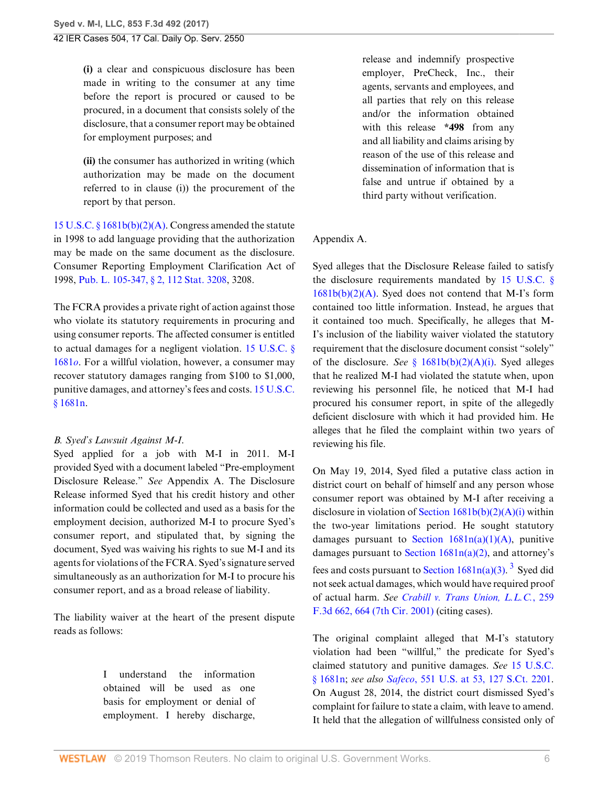**(i)** a clear and conspicuous disclosure has been made in writing to the consumer at any time before the report is procured or caused to be procured, in a document that consists solely of the disclosure, that a consumer report may be obtained for employment purposes; and

**(ii)** the consumer has authorized in writing (which authorization may be made on the document referred to in clause (i)) the procurement of the report by that person.

[15 U.S.C. § 1681b\(b\)\(2\)\(A\).](http://www.westlaw.com/Link/Document/FullText?findType=L&pubNum=1000546&cite=15USCAS1681B&originatingDoc=I34acc4f00de111e79277eb58f3dd13cc&refType=SP&originationContext=document&vr=3.0&rs=cblt1.0&transitionType=DocumentItem&contextData=(sc.Default)#co_pp_1eca000045f07) Congress amended the statute in 1998 to add language providing that the authorization may be made on the same document as the disclosure. Consumer Reporting Employment Clarification Act of 1998, [Pub. L. 105-347, § 2, 112 Stat. 3208](http://www.westlaw.com/Link/Document/FullText?findType=l&pubNum=1077005&cite=UUID(IA4B89C3CEE-794E8489412-1B7F859A8BD)&originatingDoc=I34acc4f00de111e79277eb58f3dd13cc&refType=SL&originationContext=document&vr=3.0&rs=cblt1.0&transitionType=DocumentItem&contextData=(sc.Default)), 3208.

The FCRA provides a private right of action against those who violate its statutory requirements in procuring and using consumer reports. The affected consumer is entitled to actual damages for a negligent violation. [15 U.S.C. §](http://www.westlaw.com/Link/Document/FullText?findType=L&pubNum=1000546&cite=15USCAS1681O&originatingDoc=I34acc4f00de111e79277eb58f3dd13cc&refType=LQ&originationContext=document&vr=3.0&rs=cblt1.0&transitionType=DocumentItem&contextData=(sc.Default)) [1681](http://www.westlaw.com/Link/Document/FullText?findType=L&pubNum=1000546&cite=15USCAS1681O&originatingDoc=I34acc4f00de111e79277eb58f3dd13cc&refType=LQ&originationContext=document&vr=3.0&rs=cblt1.0&transitionType=DocumentItem&contextData=(sc.Default))*o*. For a willful violation, however, a consumer may recover statutory damages ranging from \$100 to \$1,000, punitive damages, and attorney's fees and costs. [15 U.S.C.](http://www.westlaw.com/Link/Document/FullText?findType=L&pubNum=1000546&cite=15USCAS1681N&originatingDoc=I34acc4f00de111e79277eb58f3dd13cc&refType=LQ&originationContext=document&vr=3.0&rs=cblt1.0&transitionType=DocumentItem&contextData=(sc.Default)) [§ 1681n.](http://www.westlaw.com/Link/Document/FullText?findType=L&pubNum=1000546&cite=15USCAS1681N&originatingDoc=I34acc4f00de111e79277eb58f3dd13cc&refType=LQ&originationContext=document&vr=3.0&rs=cblt1.0&transitionType=DocumentItem&contextData=(sc.Default))

# *B. Syed's Lawsuit Against M-I*.

Syed applied for a job with M-I in 2011. M-I provided Syed with a document labeled "Pre-employment Disclosure Release." *See* Appendix A. The Disclosure Release informed Syed that his credit history and other information could be collected and used as a basis for the employment decision, authorized M-I to procure Syed's consumer report, and stipulated that, by signing the document, Syed was waiving his rights to sue M-I and its agents for violations of the FCRA. Syed's signature served simultaneously as an authorization for M-I to procure his consumer report, and as a broad release of liability.

The liability waiver at the heart of the present dispute reads as follows:

> I understand the information obtained will be used as one basis for employment or denial of employment. I hereby discharge,

release and indemnify prospective employer, PreCheck, Inc., their agents, servants and employees, and all parties that rely on this release and/or the information obtained with this release **\*498** from any and all liability and claims arising by reason of the use of this release and dissemination of information that is false and untrue if obtained by a third party without verification.

# Appendix A.

Syed alleges that the Disclosure Release failed to satisfy the disclosure requirements mandated by [15 U.S.C. §](http://www.westlaw.com/Link/Document/FullText?findType=L&pubNum=1000546&cite=15USCAS1681B&originatingDoc=I34acc4f00de111e79277eb58f3dd13cc&refType=SP&originationContext=document&vr=3.0&rs=cblt1.0&transitionType=DocumentItem&contextData=(sc.Default)#co_pp_1eca000045f07)  $1681b(b)(2)(A)$ . Syed does not contend that M-I's form contained too little information. Instead, he argues that it contained too much. Specifically, he alleges that M-I's inclusion of the liability waiver violated the statutory requirement that the disclosure document consist "solely" of the disclosure. *See* [§ 1681b\(b\)\(2\)\(A\)\(i\)](http://www.westlaw.com/Link/Document/FullText?findType=L&pubNum=1000546&cite=15USCAS1681B&originatingDoc=I34acc4f00de111e79277eb58f3dd13cc&refType=SP&originationContext=document&vr=3.0&rs=cblt1.0&transitionType=DocumentItem&contextData=(sc.Default)#co_pp_226a0000d5fe7). Syed alleges that he realized M-I had violated the statute when, upon reviewing his personnel file, he noticed that M-I had procured his consumer report, in spite of the allegedly deficient disclosure with which it had provided him. He alleges that he filed the complaint within two years of reviewing his file.

On May 19, 2014, Syed filed a putative class action in district court on behalf of himself and any person whose consumer report was obtained by M-I after receiving a disclosure in violation of Section  $1681b(b)(2)(A)(i)$  within the two-year limitations period. He sought statutory damages pursuant to Section  $1681n(a)(1)(A)$ , punitive damages pursuant to Section  $1681n(a)(2)$ , and attorney's fees and costs pursuant to Section  $1681n(a)(3)$  $1681n(a)(3)$  $1681n(a)(3)$ .<sup>3</sup> Syed did not seek actual damages, which would have required proof of actual harm. *See [Crabill v. Trans Union, L.L.C.](http://www.westlaw.com/Link/Document/FullText?findType=Y&serNum=2001653208&pubNum=0000506&originatingDoc=I34acc4f00de111e79277eb58f3dd13cc&refType=RP&fi=co_pp_sp_506_664&originationContext=document&vr=3.0&rs=cblt1.0&transitionType=DocumentItem&contextData=(sc.Default)#co_pp_sp_506_664)*, 259 [F.3d 662, 664 \(7th Cir. 2001\)](http://www.westlaw.com/Link/Document/FullText?findType=Y&serNum=2001653208&pubNum=0000506&originatingDoc=I34acc4f00de111e79277eb58f3dd13cc&refType=RP&fi=co_pp_sp_506_664&originationContext=document&vr=3.0&rs=cblt1.0&transitionType=DocumentItem&contextData=(sc.Default)#co_pp_sp_506_664) (citing cases).

<span id="page-5-0"></span>The original complaint alleged that M-I's statutory violation had been "willful," the predicate for Syed's claimed statutory and punitive damages. *See* [15 U.S.C.](http://www.westlaw.com/Link/Document/FullText?findType=L&pubNum=1000546&cite=15USCAS1681N&originatingDoc=I34acc4f00de111e79277eb58f3dd13cc&refType=LQ&originationContext=document&vr=3.0&rs=cblt1.0&transitionType=DocumentItem&contextData=(sc.Default)) [§ 1681n;](http://www.westlaw.com/Link/Document/FullText?findType=L&pubNum=1000546&cite=15USCAS1681N&originatingDoc=I34acc4f00de111e79277eb58f3dd13cc&refType=LQ&originationContext=document&vr=3.0&rs=cblt1.0&transitionType=DocumentItem&contextData=(sc.Default)) *see also Safeco*[, 551 U.S. at 53, 127 S.Ct. 2201](http://www.westlaw.com/Link/Document/FullText?findType=Y&serNum=2012395817&pubNum=0000708&originatingDoc=I34acc4f00de111e79277eb58f3dd13cc&refType=RP&originationContext=document&vr=3.0&rs=cblt1.0&transitionType=DocumentItem&contextData=(sc.Default)). On August 28, 2014, the district court dismissed Syed's complaint for failure to state a claim, with leave to amend. It held that the allegation of willfulness consisted only of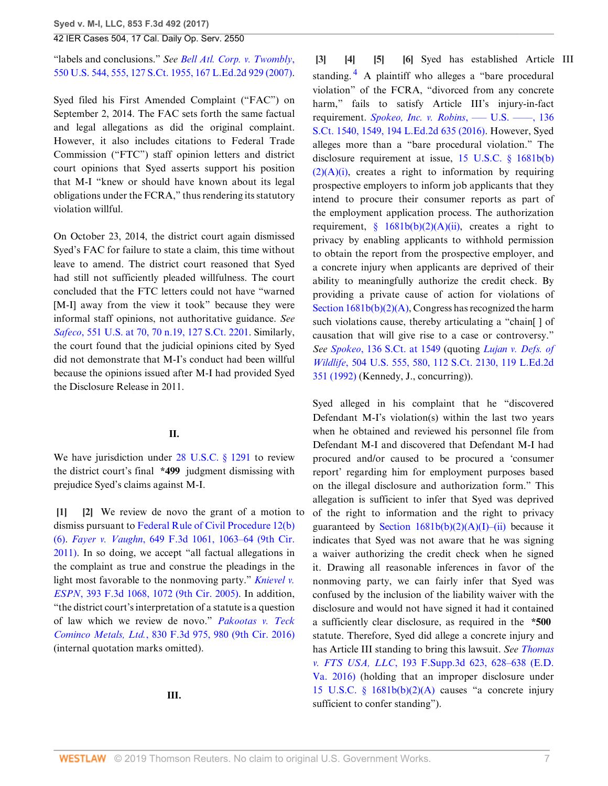"labels and conclusions." *See [Bell Atl. Corp. v. Twombly](http://www.westlaw.com/Link/Document/FullText?findType=Y&serNum=2012293296&pubNum=0000708&originatingDoc=I34acc4f00de111e79277eb58f3dd13cc&refType=RP&originationContext=document&vr=3.0&rs=cblt1.0&transitionType=DocumentItem&contextData=(sc.Default))*, [550 U.S. 544, 555, 127 S.Ct. 1955, 167 L.Ed.2d 929 \(2007\)](http://www.westlaw.com/Link/Document/FullText?findType=Y&serNum=2012293296&pubNum=0000708&originatingDoc=I34acc4f00de111e79277eb58f3dd13cc&refType=RP&originationContext=document&vr=3.0&rs=cblt1.0&transitionType=DocumentItem&contextData=(sc.Default)).

Syed filed his First Amended Complaint ("FAC") on September 2, 2014. The FAC sets forth the same factual and legal allegations as did the original complaint. However, it also includes citations to Federal Trade Commission ("FTC") staff opinion letters and district court opinions that Syed asserts support his position that M-I "knew or should have known about its legal obligations under the FCRA," thus rendering its statutory violation willful.

On October 23, 2014, the district court again dismissed Syed's FAC for failure to state a claim, this time without leave to amend. The district court reasoned that Syed had still not sufficiently pleaded willfulness. The court concluded that the FTC letters could not have "warned [M-I] away from the view it took" because they were informal staff opinions, not authoritative guidance. *See Safeco*[, 551 U.S. at 70, 70 n.19, 127 S.Ct. 2201.](http://www.westlaw.com/Link/Document/FullText?findType=Y&serNum=2012395817&pubNum=0000708&originatingDoc=I34acc4f00de111e79277eb58f3dd13cc&refType=RP&originationContext=document&vr=3.0&rs=cblt1.0&transitionType=DocumentItem&contextData=(sc.Default)) Similarly, the court found that the judicial opinions cited by Syed did not demonstrate that M-I's conduct had been willful because the opinions issued after M-I had provided Syed the Disclosure Release in 2011.

## **II.**

We have jurisdiction under [28 U.S.C. § 1291](http://www.westlaw.com/Link/Document/FullText?findType=L&pubNum=1000546&cite=28USCAS1291&originatingDoc=I34acc4f00de111e79277eb58f3dd13cc&refType=LQ&originationContext=document&vr=3.0&rs=cblt1.0&transitionType=DocumentItem&contextData=(sc.Default)) to review the district court's final **\*499** judgment dismissing with prejudice Syed's claims against M-I.

<span id="page-6-1"></span><span id="page-6-0"></span>**[\[1](#page-0-0)] [\[2\]](#page-0-1)** We review de novo the grant of a motion to dismiss pursuant to [Federal Rule of Civil Procedure 12\(b\)](http://www.westlaw.com/Link/Document/FullText?findType=L&pubNum=1000600&cite=USFRCPR12&originatingDoc=I34acc4f00de111e79277eb58f3dd13cc&refType=LQ&originationContext=document&vr=3.0&rs=cblt1.0&transitionType=DocumentItem&contextData=(sc.Default)) [\(6\).](http://www.westlaw.com/Link/Document/FullText?findType=L&pubNum=1000600&cite=USFRCPR12&originatingDoc=I34acc4f00de111e79277eb58f3dd13cc&refType=LQ&originationContext=document&vr=3.0&rs=cblt1.0&transitionType=DocumentItem&contextData=(sc.Default)) *Fayer v. Vaughn*[, 649 F.3d 1061, 1063–64 \(9th Cir.](http://www.westlaw.com/Link/Document/FullText?findType=Y&serNum=2025223875&pubNum=0000506&originatingDoc=I34acc4f00de111e79277eb58f3dd13cc&refType=RP&fi=co_pp_sp_506_1063&originationContext=document&vr=3.0&rs=cblt1.0&transitionType=DocumentItem&contextData=(sc.Default)#co_pp_sp_506_1063) [2011\)](http://www.westlaw.com/Link/Document/FullText?findType=Y&serNum=2025223875&pubNum=0000506&originatingDoc=I34acc4f00de111e79277eb58f3dd13cc&refType=RP&fi=co_pp_sp_506_1063&originationContext=document&vr=3.0&rs=cblt1.0&transitionType=DocumentItem&contextData=(sc.Default)#co_pp_sp_506_1063). In so doing, we accept "all factual allegations in the complaint as true and construe the pleadings in the light most favorable to the nonmoving party." *[Knievel v.](http://www.westlaw.com/Link/Document/FullText?findType=Y&serNum=2005883507&pubNum=0000506&originatingDoc=I34acc4f00de111e79277eb58f3dd13cc&refType=RP&fi=co_pp_sp_506_1072&originationContext=document&vr=3.0&rs=cblt1.0&transitionType=DocumentItem&contextData=(sc.Default)#co_pp_sp_506_1072) ESPN*[, 393 F.3d 1068, 1072 \(9th Cir. 2005\)](http://www.westlaw.com/Link/Document/FullText?findType=Y&serNum=2005883507&pubNum=0000506&originatingDoc=I34acc4f00de111e79277eb58f3dd13cc&refType=RP&fi=co_pp_sp_506_1072&originationContext=document&vr=3.0&rs=cblt1.0&transitionType=DocumentItem&contextData=(sc.Default)#co_pp_sp_506_1072). In addition, "the district court's interpretation of a statute is a question of law which we review de novo." *[Pakootas v. Teck](http://www.westlaw.com/Link/Document/FullText?findType=Y&serNum=2039451547&pubNum=0000506&originatingDoc=I34acc4f00de111e79277eb58f3dd13cc&refType=RP&fi=co_pp_sp_506_980&originationContext=document&vr=3.0&rs=cblt1.0&transitionType=DocumentItem&contextData=(sc.Default)#co_pp_sp_506_980) Cominco Metals, Ltd.*[, 830 F.3d 975, 980 \(9th Cir. 2016\)](http://www.westlaw.com/Link/Document/FullText?findType=Y&serNum=2039451547&pubNum=0000506&originatingDoc=I34acc4f00de111e79277eb58f3dd13cc&refType=RP&fi=co_pp_sp_506_980&originationContext=document&vr=3.0&rs=cblt1.0&transitionType=DocumentItem&contextData=(sc.Default)#co_pp_sp_506_980) (internal quotation marks omitted).

<span id="page-6-6"></span><span id="page-6-5"></span><span id="page-6-4"></span><span id="page-6-3"></span><span id="page-6-2"></span>**[\[3](#page-0-2)] [\[4](#page-1-1)] [\[5](#page-1-2)] [\[6](#page-1-3)]** Syed has established Article III standing. <sup>[4](#page-12-3)</sup> A plaintiff who alleges a "bare procedural violation" of the FCRA, "divorced from any concrete harm," fails to satisfy Article III's injury-in-fact requirement. *[Spokeo, Inc. v. Robins](http://www.westlaw.com/Link/Document/FullText?findType=Y&serNum=2038848364&pubNum=0000708&originatingDoc=I34acc4f00de111e79277eb58f3dd13cc&refType=RP&fi=co_pp_sp_708_1549&originationContext=document&vr=3.0&rs=cblt1.0&transitionType=DocumentItem&contextData=(sc.Default)#co_pp_sp_708_1549)*, — U.S. — , 136 [S.Ct. 1540, 1549, 194 L.Ed.2d 635 \(2016\).](http://www.westlaw.com/Link/Document/FullText?findType=Y&serNum=2038848364&pubNum=0000708&originatingDoc=I34acc4f00de111e79277eb58f3dd13cc&refType=RP&fi=co_pp_sp_708_1549&originationContext=document&vr=3.0&rs=cblt1.0&transitionType=DocumentItem&contextData=(sc.Default)#co_pp_sp_708_1549) However, Syed alleges more than a "bare procedural violation." The disclosure requirement at issue, [15 U.S.C. § 1681b\(b\)](http://www.westlaw.com/Link/Document/FullText?findType=L&pubNum=1000546&cite=15USCAS1681B&originatingDoc=I34acc4f00de111e79277eb58f3dd13cc&refType=SP&originationContext=document&vr=3.0&rs=cblt1.0&transitionType=DocumentItem&contextData=(sc.Default)#co_pp_226a0000d5fe7)  $(2)(A)(i)$ , creates a right to information by requiring prospective employers to inform job applicants that they intend to procure their consumer reports as part of the employment application process. The authorization requirement,  $\frac{\S}{\S}$  1681b(b)(2)(A)(ii), creates a right to privacy by enabling applicants to withhold permission to obtain the report from the prospective employer, and a concrete injury when applicants are deprived of their ability to meaningfully authorize the credit check. By providing a private cause of action for violations of Section  $1681b(b)(2)(A)$ , Congress has recognized the harm such violations cause, thereby articulating a "chain[ ] of causation that will give rise to a case or controversy." *See Spokeo*[, 136 S.Ct. at 1549](http://www.westlaw.com/Link/Document/FullText?findType=Y&serNum=2038848364&pubNum=0000708&originatingDoc=I34acc4f00de111e79277eb58f3dd13cc&refType=RP&fi=co_pp_sp_708_1549&originationContext=document&vr=3.0&rs=cblt1.0&transitionType=DocumentItem&contextData=(sc.Default)#co_pp_sp_708_1549) (quoting *[Lujan v. Defs. of](http://www.westlaw.com/Link/Document/FullText?findType=Y&serNum=1992106162&pubNum=0000708&originatingDoc=I34acc4f00de111e79277eb58f3dd13cc&refType=RP&originationContext=document&vr=3.0&rs=cblt1.0&transitionType=DocumentItem&contextData=(sc.Default)) Wildlife*[, 504 U.S. 555, 580, 112 S.Ct. 2130, 119 L.Ed.2d](http://www.westlaw.com/Link/Document/FullText?findType=Y&serNum=1992106162&pubNum=0000708&originatingDoc=I34acc4f00de111e79277eb58f3dd13cc&refType=RP&originationContext=document&vr=3.0&rs=cblt1.0&transitionType=DocumentItem&contextData=(sc.Default)) [351 \(1992\)](http://www.westlaw.com/Link/Document/FullText?findType=Y&serNum=1992106162&pubNum=0000708&originatingDoc=I34acc4f00de111e79277eb58f3dd13cc&refType=RP&originationContext=document&vr=3.0&rs=cblt1.0&transitionType=DocumentItem&contextData=(sc.Default)) (Kennedy, J., concurring)).

Syed alleged in his complaint that he "discovered Defendant M-I's violation(s) within the last two years when he obtained and reviewed his personnel file from Defendant M-I and discovered that Defendant M-I had procured and/or caused to be procured a 'consumer report' regarding him for employment purposes based on the illegal disclosure and authorization form." This allegation is sufficient to infer that Syed was deprived of the right to information and the right to privacy guaranteed by Section  $1681b(b)(2)(A)(I)$ –(ii) because it indicates that Syed was not aware that he was signing a waiver authorizing the credit check when he signed it. Drawing all reasonable inferences in favor of the nonmoving party, we can fairly infer that Syed was confused by the inclusion of the liability waiver with the disclosure and would not have signed it had it contained a sufficiently clear disclosure, as required in the **\*500** statute. Therefore, Syed did allege a concrete injury and has Article III standing to bring this lawsuit. *See [Thomas](http://www.westlaw.com/Link/Document/FullText?findType=Y&serNum=2039339962&pubNum=0007903&originatingDoc=I34acc4f00de111e79277eb58f3dd13cc&refType=RP&fi=co_pp_sp_7903_628&originationContext=document&vr=3.0&rs=cblt1.0&transitionType=DocumentItem&contextData=(sc.Default)#co_pp_sp_7903_628) v. FTS USA, LLC*[, 193 F.Supp.3d 623, 628–638 \(E.D.](http://www.westlaw.com/Link/Document/FullText?findType=Y&serNum=2039339962&pubNum=0007903&originatingDoc=I34acc4f00de111e79277eb58f3dd13cc&refType=RP&fi=co_pp_sp_7903_628&originationContext=document&vr=3.0&rs=cblt1.0&transitionType=DocumentItem&contextData=(sc.Default)#co_pp_sp_7903_628) [Va. 2016\)](http://www.westlaw.com/Link/Document/FullText?findType=Y&serNum=2039339962&pubNum=0007903&originatingDoc=I34acc4f00de111e79277eb58f3dd13cc&refType=RP&fi=co_pp_sp_7903_628&originationContext=document&vr=3.0&rs=cblt1.0&transitionType=DocumentItem&contextData=(sc.Default)#co_pp_sp_7903_628) (holding that an improper disclosure under [15 U.S.C. § 1681b\(b\)\(2\)\(A\)](http://www.westlaw.com/Link/Document/FullText?findType=L&pubNum=1000546&cite=15USCAS1681B&originatingDoc=I34acc4f00de111e79277eb58f3dd13cc&refType=SP&originationContext=document&vr=3.0&rs=cblt1.0&transitionType=DocumentItem&contextData=(sc.Default)#co_pp_1eca000045f07) causes "a concrete injury sufficient to confer standing").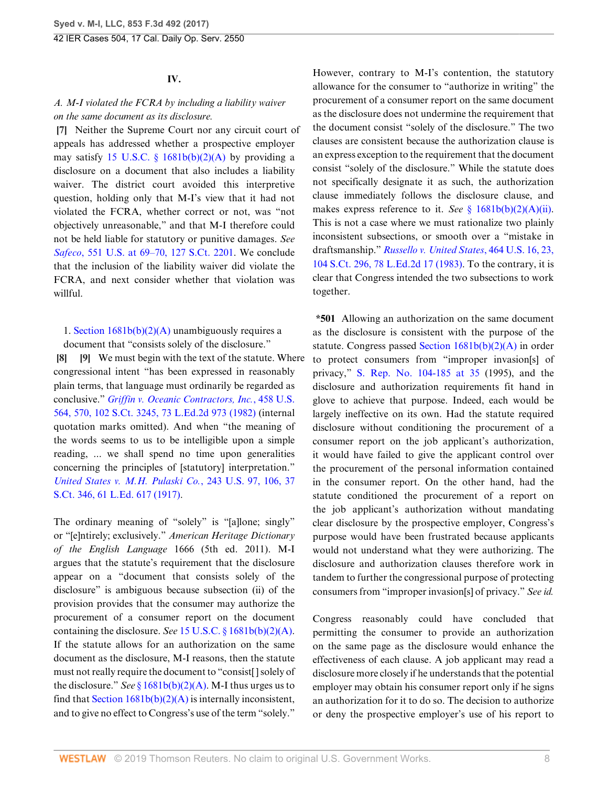### **IV.**

# *A. M-I violated the FCRA by including a liability waiver on the same document as its disclosure.*

<span id="page-7-0"></span>**[\[7](#page-1-0)]** Neither the Supreme Court nor any circuit court of appeals has addressed whether a prospective employer may satisfy 15 U.S.C.  $\S$  1681b(b)(2)(A) by providing a disclosure on a document that also includes a liability waiver. The district court avoided this interpretive question, holding only that M-I's view that it had not violated the FCRA, whether correct or not, was "not objectively unreasonable," and that M-I therefore could not be held liable for statutory or punitive damages. *See Safeco*[, 551 U.S. at 69–70, 127 S.Ct. 2201](http://www.westlaw.com/Link/Document/FullText?findType=Y&serNum=2012395817&pubNum=0000708&originatingDoc=I34acc4f00de111e79277eb58f3dd13cc&refType=RP&originationContext=document&vr=3.0&rs=cblt1.0&transitionType=DocumentItem&contextData=(sc.Default)). We conclude that the inclusion of the liability waiver did violate the FCRA, and next consider whether that violation was willful.

# 1. Section  $1681b(b)(2)(A)$  unambiguously requires a

<span id="page-7-2"></span><span id="page-7-1"></span>document that "consists solely of the disclosure."

**[\[8](#page-1-4)] [\[9](#page-1-5)]** We must begin with the text of the statute. Where congressional intent "has been expressed in reasonably plain terms, that language must ordinarily be regarded as conclusive." *[Griffin v. Oceanic Contractors, Inc.](http://www.westlaw.com/Link/Document/FullText?findType=Y&serNum=1982129342&pubNum=0000708&originatingDoc=I34acc4f00de111e79277eb58f3dd13cc&refType=RP&originationContext=document&vr=3.0&rs=cblt1.0&transitionType=DocumentItem&contextData=(sc.Default))*, 458 U.S. [564, 570, 102 S.Ct. 3245, 73 L.Ed.2d 973 \(1982\)](http://www.westlaw.com/Link/Document/FullText?findType=Y&serNum=1982129342&pubNum=0000708&originatingDoc=I34acc4f00de111e79277eb58f3dd13cc&refType=RP&originationContext=document&vr=3.0&rs=cblt1.0&transitionType=DocumentItem&contextData=(sc.Default)) (internal quotation marks omitted). And when "the meaning of the words seems to us to be intelligible upon a simple reading, ... we shall spend no time upon generalities concerning the principles of [statutory] interpretation." *[United States v. M.H. Pulaski Co.](http://www.westlaw.com/Link/Document/FullText?findType=Y&serNum=1917100383&pubNum=0000708&originatingDoc=I34acc4f00de111e79277eb58f3dd13cc&refType=RP&originationContext=document&vr=3.0&rs=cblt1.0&transitionType=DocumentItem&contextData=(sc.Default))*, 243 U.S. 97, 106, 37 [S.Ct. 346, 61 L.Ed. 617 \(1917\).](http://www.westlaw.com/Link/Document/FullText?findType=Y&serNum=1917100383&pubNum=0000708&originatingDoc=I34acc4f00de111e79277eb58f3dd13cc&refType=RP&originationContext=document&vr=3.0&rs=cblt1.0&transitionType=DocumentItem&contextData=(sc.Default))

The ordinary meaning of "solely" is "[a]lone; singly" or "[e]ntirely; exclusively." *American Heritage Dictionary of the English Language* 1666 (5th ed. 2011). M-I argues that the statute's requirement that the disclosure appear on a "document that consists solely of the disclosure" is ambiguous because subsection (ii) of the provision provides that the consumer may authorize the procurement of a consumer report on the document containing the disclosure. *See* [15 U.S.C. § 1681b\(b\)\(2\)\(A\)](http://www.westlaw.com/Link/Document/FullText?findType=L&pubNum=1000546&cite=15USCAS1681B&originatingDoc=I34acc4f00de111e79277eb58f3dd13cc&refType=SP&originationContext=document&vr=3.0&rs=cblt1.0&transitionType=DocumentItem&contextData=(sc.Default)#co_pp_1eca000045f07). If the statute allows for an authorization on the same document as the disclosure, M-I reasons, then the statute must not really require the document to "consist[ ] solely of the disclosure." *See*  $\frac{8}{9}$  1681b(b)(2)(A). M-I thus urges us to find that Section  $1681b(b)(2)(A)$  is internally inconsistent, and to give no effect to Congress's use of the term "solely."

However, contrary to M-I's contention, the statutory allowance for the consumer to "authorize in writing" the procurement of a consumer report on the same document as the disclosure does not undermine the requirement that the document consist "solely of the disclosure." The two clauses are consistent because the authorization clause is an express exception to the requirement that the document consist "solely of the disclosure." While the statute does not specifically designate it as such, the authorization clause immediately follows the disclosure clause, and makes express reference to it. *See* [§ 1681b\(b\)\(2\)\(A\)\(ii\)](http://www.westlaw.com/Link/Document/FullText?findType=L&pubNum=1000546&cite=15USCAS1681B&originatingDoc=I34acc4f00de111e79277eb58f3dd13cc&refType=SP&originationContext=document&vr=3.0&rs=cblt1.0&transitionType=DocumentItem&contextData=(sc.Default)#co_pp_832d0000f0f07). This is not a case where we must rationalize two plainly inconsistent subsections, or smooth over a "mistake in draftsmanship." *[Russello v. United States](http://www.westlaw.com/Link/Document/FullText?findType=Y&serNum=1983149303&pubNum=0000708&originatingDoc=I34acc4f00de111e79277eb58f3dd13cc&refType=RP&originationContext=document&vr=3.0&rs=cblt1.0&transitionType=DocumentItem&contextData=(sc.Default))*, 464 U.S. 16, 23, [104 S.Ct. 296, 78 L.Ed.2d 17 \(1983\).](http://www.westlaw.com/Link/Document/FullText?findType=Y&serNum=1983149303&pubNum=0000708&originatingDoc=I34acc4f00de111e79277eb58f3dd13cc&refType=RP&originationContext=document&vr=3.0&rs=cblt1.0&transitionType=DocumentItem&contextData=(sc.Default)) To the contrary, it is clear that Congress intended the two subsections to work together.

**\*501** Allowing an authorization on the same document as the disclosure is consistent with the purpose of the statute. Congress passed [Section 1681b\(b\)\(2\)\(A\)](http://www.westlaw.com/Link/Document/FullText?findType=L&pubNum=1000546&cite=15USCAS1681B&originatingDoc=I34acc4f00de111e79277eb58f3dd13cc&refType=SP&originationContext=document&vr=3.0&rs=cblt1.0&transitionType=DocumentItem&contextData=(sc.Default)#co_pp_1eca000045f07) in order to protect consumers from "improper invasion[s] of privacy," [S. Rep. No. 104-185 at 35](http://www.westlaw.com/Link/Document/FullText?findType=Y&serNum=0105960016&pubNum=0001503&originatingDoc=I34acc4f00de111e79277eb58f3dd13cc&refType=TV&originationContext=document&vr=3.0&rs=cblt1.0&transitionType=DocumentItem&contextData=(sc.Default)) (1995), and the disclosure and authorization requirements fit hand in glove to achieve that purpose. Indeed, each would be largely ineffective on its own. Had the statute required disclosure without conditioning the procurement of a consumer report on the job applicant's authorization, it would have failed to give the applicant control over the procurement of the personal information contained in the consumer report. On the other hand, had the statute conditioned the procurement of a report on the job applicant's authorization without mandating clear disclosure by the prospective employer, Congress's purpose would have been frustrated because applicants would not understand what they were authorizing. The disclosure and authorization clauses therefore work in tandem to further the congressional purpose of protecting consumers from "improper invasion[s] of privacy." *See id.*

Congress reasonably could have concluded that permitting the consumer to provide an authorization on the same page as the disclosure would enhance the effectiveness of each clause. A job applicant may read a disclosure more closely if he understands that the potential employer may obtain his consumer report only if he signs an authorization for it to do so. The decision to authorize or deny the prospective employer's use of his report to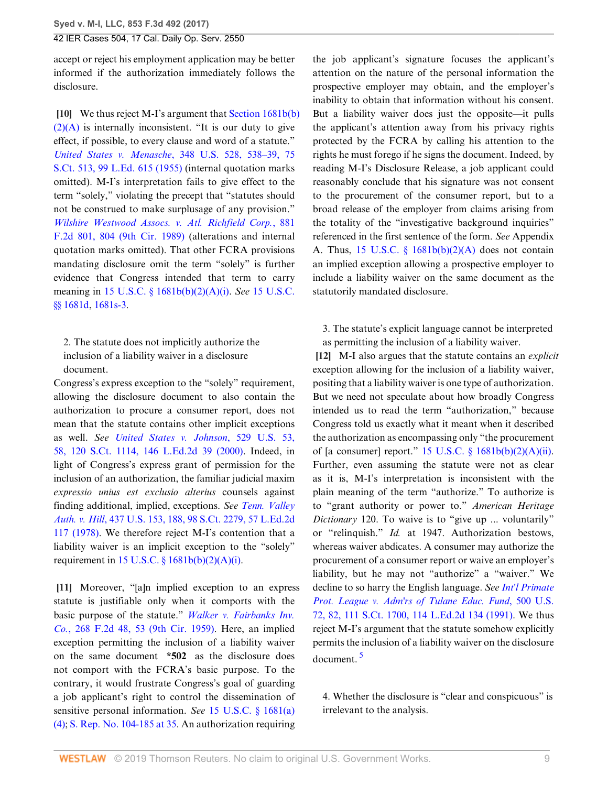accept or reject his employment application may be better informed if the authorization immediately follows the disclosure.

<span id="page-8-0"></span>**[\[10](#page-1-6)]** We thus reject M-I's argument that [Section 1681b\(b\)](http://www.westlaw.com/Link/Document/FullText?findType=L&pubNum=1000546&cite=15USCAS1681B&originatingDoc=I34acc4f00de111e79277eb58f3dd13cc&refType=SP&originationContext=document&vr=3.0&rs=cblt1.0&transitionType=DocumentItem&contextData=(sc.Default)#co_pp_1eca000045f07)  $(2)(A)$  is internally inconsistent. "It is our duty to give effect, if possible, to every clause and word of a statute." *United States v. Menasche*[, 348 U.S. 528, 538–39, 75](http://www.westlaw.com/Link/Document/FullText?findType=Y&serNum=1955121370&pubNum=0000708&originatingDoc=I34acc4f00de111e79277eb58f3dd13cc&refType=RP&originationContext=document&vr=3.0&rs=cblt1.0&transitionType=DocumentItem&contextData=(sc.Default)) [S.Ct. 513, 99 L.Ed. 615 \(1955\)](http://www.westlaw.com/Link/Document/FullText?findType=Y&serNum=1955121370&pubNum=0000708&originatingDoc=I34acc4f00de111e79277eb58f3dd13cc&refType=RP&originationContext=document&vr=3.0&rs=cblt1.0&transitionType=DocumentItem&contextData=(sc.Default)) (internal quotation marks omitted). M-I's interpretation fails to give effect to the term "solely," violating the precept that "statutes should not be construed to make surplusage of any provision." *[Wilshire Westwood Assocs. v. Atl. Richfield Corp.](http://www.westlaw.com/Link/Document/FullText?findType=Y&serNum=1989117132&pubNum=0000350&originatingDoc=I34acc4f00de111e79277eb58f3dd13cc&refType=RP&fi=co_pp_sp_350_804&originationContext=document&vr=3.0&rs=cblt1.0&transitionType=DocumentItem&contextData=(sc.Default)#co_pp_sp_350_804)*, 881 [F.2d 801, 804 \(9th Cir. 1989\)](http://www.westlaw.com/Link/Document/FullText?findType=Y&serNum=1989117132&pubNum=0000350&originatingDoc=I34acc4f00de111e79277eb58f3dd13cc&refType=RP&fi=co_pp_sp_350_804&originationContext=document&vr=3.0&rs=cblt1.0&transitionType=DocumentItem&contextData=(sc.Default)#co_pp_sp_350_804) (alterations and internal quotation marks omitted). That other FCRA provisions mandating disclosure omit the term "solely" is further evidence that Congress intended that term to carry meaning in [15 U.S.C. § 1681b\(b\)\(2\)\(A\)\(i\).](http://www.westlaw.com/Link/Document/FullText?findType=L&pubNum=1000546&cite=15USCAS1681B&originatingDoc=I34acc4f00de111e79277eb58f3dd13cc&refType=SP&originationContext=document&vr=3.0&rs=cblt1.0&transitionType=DocumentItem&contextData=(sc.Default)#co_pp_226a0000d5fe7) *See* [15 U.S.C.](http://www.westlaw.com/Link/Document/FullText?findType=L&pubNum=1000546&cite=15USCAS1681D&originatingDoc=I34acc4f00de111e79277eb58f3dd13cc&refType=LQ&originationContext=document&vr=3.0&rs=cblt1.0&transitionType=DocumentItem&contextData=(sc.Default)) [§§ 1681d,](http://www.westlaw.com/Link/Document/FullText?findType=L&pubNum=1000546&cite=15USCAS1681D&originatingDoc=I34acc4f00de111e79277eb58f3dd13cc&refType=LQ&originationContext=document&vr=3.0&rs=cblt1.0&transitionType=DocumentItem&contextData=(sc.Default)) [1681s-3](http://www.westlaw.com/Link/Document/FullText?findType=L&pubNum=1000546&cite=15USCAS1681S-3&originatingDoc=I34acc4f00de111e79277eb58f3dd13cc&refType=LQ&originationContext=document&vr=3.0&rs=cblt1.0&transitionType=DocumentItem&contextData=(sc.Default)).

2. The statute does not implicitly authorize the inclusion of a liability waiver in a disclosure document.

Congress's express exception to the "solely" requirement, allowing the disclosure document to also contain the authorization to procure a consumer report, does not mean that the statute contains other implicit exceptions as well. *See [United States v. Johnson](http://www.westlaw.com/Link/Document/FullText?findType=Y&serNum=2000064165&pubNum=0000708&originatingDoc=I34acc4f00de111e79277eb58f3dd13cc&refType=RP&originationContext=document&vr=3.0&rs=cblt1.0&transitionType=DocumentItem&contextData=(sc.Default))*, 529 U.S. 53, [58, 120 S.Ct. 1114, 146 L.Ed.2d 39 \(2000\).](http://www.westlaw.com/Link/Document/FullText?findType=Y&serNum=2000064165&pubNum=0000708&originatingDoc=I34acc4f00de111e79277eb58f3dd13cc&refType=RP&originationContext=document&vr=3.0&rs=cblt1.0&transitionType=DocumentItem&contextData=(sc.Default)) Indeed, in light of Congress's express grant of permission for the inclusion of an authorization, the familiar judicial maxim *expressio unius est exclusio alterius* counsels against finding additional, implied, exceptions. *See [Tenn. Valley](http://www.westlaw.com/Link/Document/FullText?findType=Y&serNum=1978139478&pubNum=0000708&originatingDoc=I34acc4f00de111e79277eb58f3dd13cc&refType=RP&originationContext=document&vr=3.0&rs=cblt1.0&transitionType=DocumentItem&contextData=(sc.Default)) Auth. v. Hill*[, 437 U.S. 153, 188, 98 S.Ct. 2279, 57 L.Ed.2d](http://www.westlaw.com/Link/Document/FullText?findType=Y&serNum=1978139478&pubNum=0000708&originatingDoc=I34acc4f00de111e79277eb58f3dd13cc&refType=RP&originationContext=document&vr=3.0&rs=cblt1.0&transitionType=DocumentItem&contextData=(sc.Default)) [117 \(1978\).](http://www.westlaw.com/Link/Document/FullText?findType=Y&serNum=1978139478&pubNum=0000708&originatingDoc=I34acc4f00de111e79277eb58f3dd13cc&refType=RP&originationContext=document&vr=3.0&rs=cblt1.0&transitionType=DocumentItem&contextData=(sc.Default)) We therefore reject M-I's contention that a liability waiver is an implicit exception to the "solely" requirement in  $15$  U.S.C.  $\S 1681b(b)(2)(A)(i)$ .

<span id="page-8-1"></span>**[\[11](#page-1-7)]** Moreover, "[a]n implied exception to an express statute is justifiable only when it comports with the basic purpose of the statute." *[Walker v. Fairbanks Inv.](http://www.westlaw.com/Link/Document/FullText?findType=Y&serNum=1959110589&pubNum=0000350&originatingDoc=I34acc4f00de111e79277eb58f3dd13cc&refType=RP&fi=co_pp_sp_350_53&originationContext=document&vr=3.0&rs=cblt1.0&transitionType=DocumentItem&contextData=(sc.Default)#co_pp_sp_350_53) Co.*[, 268 F.2d 48, 53 \(9th Cir. 1959\).](http://www.westlaw.com/Link/Document/FullText?findType=Y&serNum=1959110589&pubNum=0000350&originatingDoc=I34acc4f00de111e79277eb58f3dd13cc&refType=RP&fi=co_pp_sp_350_53&originationContext=document&vr=3.0&rs=cblt1.0&transitionType=DocumentItem&contextData=(sc.Default)#co_pp_sp_350_53) Here, an implied exception permitting the inclusion of a liability waiver on the same document **\*502** as the disclosure does not comport with the FCRA's basic purpose. To the contrary, it would frustrate Congress's goal of guarding a job applicant's right to control the dissemination of sensitive personal information. *See* [15 U.S.C. § 1681\(a\)](http://www.westlaw.com/Link/Document/FullText?findType=L&pubNum=1000546&cite=15USCAS1681&originatingDoc=I34acc4f00de111e79277eb58f3dd13cc&refType=SP&originationContext=document&vr=3.0&rs=cblt1.0&transitionType=DocumentItem&contextData=(sc.Default)#co_pp_d40e000072291) [\(4\);](http://www.westlaw.com/Link/Document/FullText?findType=L&pubNum=1000546&cite=15USCAS1681&originatingDoc=I34acc4f00de111e79277eb58f3dd13cc&refType=SP&originationContext=document&vr=3.0&rs=cblt1.0&transitionType=DocumentItem&contextData=(sc.Default)#co_pp_d40e000072291) [S. Rep. No. 104-185 at 35.](http://www.westlaw.com/Link/Document/FullText?findType=Y&serNum=0105960016&pubNum=0001503&originatingDoc=I34acc4f00de111e79277eb58f3dd13cc&refType=TV&originationContext=document&vr=3.0&rs=cblt1.0&transitionType=DocumentItem&contextData=(sc.Default)) An authorization requiring

the job applicant's signature focuses the applicant's attention on the nature of the personal information the prospective employer may obtain, and the employer's inability to obtain that information without his consent. But a liability waiver does just the opposite—it pulls the applicant's attention away from his privacy rights protected by the FCRA by calling his attention to the rights he must forego if he signs the document. Indeed, by reading M-I's Disclosure Release, a job applicant could reasonably conclude that his signature was not consent to the procurement of the consumer report, but to a broad release of the employer from claims arising from the totality of the "investigative background inquiries" referenced in the first sentence of the form. *See* Appendix A. Thus, 15 U.S.C. §  $1681b(b)(2)(A)$  does not contain an implied exception allowing a prospective employer to include a liability waiver on the same document as the statutorily mandated disclosure.

3. The statute's explicit language cannot be interpreted as permitting the inclusion of a liability waiver.

<span id="page-8-2"></span>**[\[12](#page-2-2)]** M-I also argues that the statute contains an *explicit* exception allowing for the inclusion of a liability waiver, positing that a liability waiver is one type of authorization. But we need not speculate about how broadly Congress intended us to read the term "authorization," because Congress told us exactly what it meant when it described the authorization as encompassing only "the procurement of [a consumer] report." [15 U.S.C. § 1681b\(b\)\(2\)\(A\)\(ii\)](http://www.westlaw.com/Link/Document/FullText?findType=L&pubNum=1000546&cite=15USCAS1681B&originatingDoc=I34acc4f00de111e79277eb58f3dd13cc&refType=SP&originationContext=document&vr=3.0&rs=cblt1.0&transitionType=DocumentItem&contextData=(sc.Default)#co_pp_832d0000f0f07). Further, even assuming the statute were not as clear as it is, M-I's interpretation is inconsistent with the plain meaning of the term "authorize." To authorize is to "grant authority or power to." *American Heritage Dictionary* 120. To waive is to "give up ... voluntarily" or "relinquish." *Id.* at 1947. Authorization bestows, whereas waiver abdicates. A consumer may authorize the procurement of a consumer report or waive an employer's liability, but he may not "authorize" a "waiver." We decline to so harry the English language. *See [Int'l Primate](http://www.westlaw.com/Link/Document/FullText?findType=Y&serNum=1991093612&pubNum=0000708&originatingDoc=I34acc4f00de111e79277eb58f3dd13cc&refType=RP&originationContext=document&vr=3.0&rs=cblt1.0&transitionType=DocumentItem&contextData=(sc.Default)) [Prot. League v. Adm'rs of Tulane Educ. Fund](http://www.westlaw.com/Link/Document/FullText?findType=Y&serNum=1991093612&pubNum=0000708&originatingDoc=I34acc4f00de111e79277eb58f3dd13cc&refType=RP&originationContext=document&vr=3.0&rs=cblt1.0&transitionType=DocumentItem&contextData=(sc.Default))*, 500 U.S. [72, 82, 111 S.Ct. 1700, 114 L.Ed.2d 134 \(1991\)](http://www.westlaw.com/Link/Document/FullText?findType=Y&serNum=1991093612&pubNum=0000708&originatingDoc=I34acc4f00de111e79277eb58f3dd13cc&refType=RP&originationContext=document&vr=3.0&rs=cblt1.0&transitionType=DocumentItem&contextData=(sc.Default)). We thus reject M-I's argument that the statute somehow explicitly permits the inclusion of a liability waiver on the disclosure document. [5](#page-13-0)

<span id="page-8-3"></span>4. Whether the disclosure is "clear and conspicuous" is irrelevant to the analysis.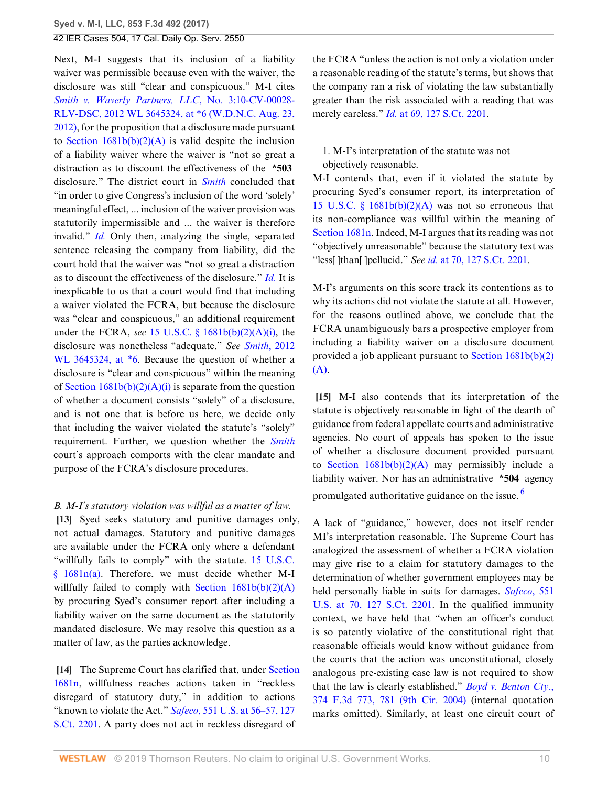Next, M-I suggests that its inclusion of a liability waiver was permissible because even with the waiver, the disclosure was still "clear and conspicuous." M-I cites *[Smith v. Waverly Partners, LLC](http://www.westlaw.com/Link/Document/FullText?findType=Y&serNum=2028480740&pubNum=0000999&originatingDoc=I34acc4f00de111e79277eb58f3dd13cc&refType=RP&originationContext=document&vr=3.0&rs=cblt1.0&transitionType=DocumentItem&contextData=(sc.Default))*, No. 3:10-CV-00028- [RLV-DSC, 2012 WL 3645324, at \\*6 \(W.D.N.C. Aug. 23,](http://www.westlaw.com/Link/Document/FullText?findType=Y&serNum=2028480740&pubNum=0000999&originatingDoc=I34acc4f00de111e79277eb58f3dd13cc&refType=RP&originationContext=document&vr=3.0&rs=cblt1.0&transitionType=DocumentItem&contextData=(sc.Default)) [2012\)](http://www.westlaw.com/Link/Document/FullText?findType=Y&serNum=2028480740&pubNum=0000999&originatingDoc=I34acc4f00de111e79277eb58f3dd13cc&refType=RP&originationContext=document&vr=3.0&rs=cblt1.0&transitionType=DocumentItem&contextData=(sc.Default)), for the proposition that a disclosure made pursuant to Section  $1681b(b)(2)(A)$  is valid despite the inclusion of a liability waiver where the waiver is "not so great a distraction as to discount the effectiveness of the **\*503** disclosure." The district court in *[Smith](http://www.westlaw.com/Link/Document/FullText?findType=Y&serNum=2028480740&pubNum=0000999&originatingDoc=I34acc4f00de111e79277eb58f3dd13cc&refType=RP&originationContext=document&vr=3.0&rs=cblt1.0&transitionType=DocumentItem&contextData=(sc.Default))* concluded that "in order to give Congress's inclusion of the word 'solely' meaningful effect, ... inclusion of the waiver provision was statutorily impermissible and ... the waiver is therefore invalid." *[Id.](http://www.westlaw.com/Link/Document/FullText?findType=Y&serNum=2028480740&pubNum=0000999&originatingDoc=I34acc4f00de111e79277eb58f3dd13cc&refType=RP&originationContext=document&vr=3.0&rs=cblt1.0&transitionType=DocumentItem&contextData=(sc.Default))* Only then, analyzing the single, separated sentence releasing the company from liability, did the court hold that the waiver was "not so great a distraction as to discount the effectiveness of the disclosure." *[Id.](http://www.westlaw.com/Link/Document/FullText?findType=Y&serNum=2028480740&pubNum=0000999&originatingDoc=I34acc4f00de111e79277eb58f3dd13cc&refType=RP&originationContext=document&vr=3.0&rs=cblt1.0&transitionType=DocumentItem&contextData=(sc.Default))* It is inexplicable to us that a court would find that including a waiver violated the FCRA, but because the disclosure was "clear and conspicuous," an additional requirement under the FCRA, *see* [15 U.S.C. § 1681b\(b\)\(2\)\(A\)\(i\),](http://www.westlaw.com/Link/Document/FullText?findType=L&pubNum=1000546&cite=15USCAS1681B&originatingDoc=I34acc4f00de111e79277eb58f3dd13cc&refType=SP&originationContext=document&vr=3.0&rs=cblt1.0&transitionType=DocumentItem&contextData=(sc.Default)#co_pp_226a0000d5fe7) the disclosure was nonetheless "adequate." *See Smith*[, 2012](http://www.westlaw.com/Link/Document/FullText?findType=Y&serNum=2028480740&pubNum=0000999&originatingDoc=I34acc4f00de111e79277eb58f3dd13cc&refType=RP&originationContext=document&vr=3.0&rs=cblt1.0&transitionType=DocumentItem&contextData=(sc.Default)) [WL 3645324, at \\*6.](http://www.westlaw.com/Link/Document/FullText?findType=Y&serNum=2028480740&pubNum=0000999&originatingDoc=I34acc4f00de111e79277eb58f3dd13cc&refType=RP&originationContext=document&vr=3.0&rs=cblt1.0&transitionType=DocumentItem&contextData=(sc.Default)) Because the question of whether a disclosure is "clear and conspicuous" within the meaning of Section  $1681b(b)(2)(A)(i)$  is separate from the question of whether a document consists "solely" of a disclosure, and is not one that is before us here, we decide only that including the waiver violated the statute's "solely" requirement. Further, we question whether the *[Smith](http://www.westlaw.com/Link/Document/FullText?findType=Y&serNum=2028480740&pubNum=0000999&originatingDoc=I34acc4f00de111e79277eb58f3dd13cc&refType=RP&originationContext=document&vr=3.0&rs=cblt1.0&transitionType=DocumentItem&contextData=(sc.Default))* court's approach comports with the clear mandate and purpose of the FCRA's disclosure procedures.

# *B. M-I's statutory violation was willful as a matter of law.*

<span id="page-9-0"></span>**[\[13](#page-2-0)]** Syed seeks statutory and punitive damages only, not actual damages. Statutory and punitive damages are available under the FCRA only where a defendant "willfully fails to comply" with the statute. [15 U.S.C.](http://www.westlaw.com/Link/Document/FullText?findType=L&pubNum=1000546&cite=15USCAS1681N&originatingDoc=I34acc4f00de111e79277eb58f3dd13cc&refType=SP&originationContext=document&vr=3.0&rs=cblt1.0&transitionType=DocumentItem&contextData=(sc.Default)#co_pp_8b3b0000958a4) [§ 1681n\(a\)](http://www.westlaw.com/Link/Document/FullText?findType=L&pubNum=1000546&cite=15USCAS1681N&originatingDoc=I34acc4f00de111e79277eb58f3dd13cc&refType=SP&originationContext=document&vr=3.0&rs=cblt1.0&transitionType=DocumentItem&contextData=(sc.Default)#co_pp_8b3b0000958a4). Therefore, we must decide whether M-I willfully failed to comply with Section  $1681b(b)(2)(A)$ by procuring Syed's consumer report after including a liability waiver on the same document as the statutorily mandated disclosure. We may resolve this question as a matter of law, as the parties acknowledge.

<span id="page-9-1"></span>**[\[14](#page-2-3)]** The Supreme Court has clarified that, under [Section](http://www.westlaw.com/Link/Document/FullText?findType=L&pubNum=1000546&cite=15USCAS1681N&originatingDoc=I34acc4f00de111e79277eb58f3dd13cc&refType=LQ&originationContext=document&vr=3.0&rs=cblt1.0&transitionType=DocumentItem&contextData=(sc.Default)) [1681n,](http://www.westlaw.com/Link/Document/FullText?findType=L&pubNum=1000546&cite=15USCAS1681N&originatingDoc=I34acc4f00de111e79277eb58f3dd13cc&refType=LQ&originationContext=document&vr=3.0&rs=cblt1.0&transitionType=DocumentItem&contextData=(sc.Default)) willfulness reaches actions taken in "reckless disregard of statutory duty," in addition to actions "known to violate the Act." *Safeco*[, 551 U.S. at 56–57, 127](http://www.westlaw.com/Link/Document/FullText?findType=Y&serNum=2012395817&pubNum=0000708&originatingDoc=I34acc4f00de111e79277eb58f3dd13cc&refType=RP&originationContext=document&vr=3.0&rs=cblt1.0&transitionType=DocumentItem&contextData=(sc.Default)) [S.Ct. 2201.](http://www.westlaw.com/Link/Document/FullText?findType=Y&serNum=2012395817&pubNum=0000708&originatingDoc=I34acc4f00de111e79277eb58f3dd13cc&refType=RP&originationContext=document&vr=3.0&rs=cblt1.0&transitionType=DocumentItem&contextData=(sc.Default)) A party does not act in reckless disregard of

the FCRA "unless the action is not only a violation under a reasonable reading of the statute's terms, but shows that the company ran a risk of violating the law substantially greater than the risk associated with a reading that was merely careless." *Id.* [at 69, 127 S.Ct. 2201](http://www.westlaw.com/Link/Document/FullText?findType=Y&serNum=2012395817&pubNum=0000708&originatingDoc=I34acc4f00de111e79277eb58f3dd13cc&refType=RP&originationContext=document&vr=3.0&rs=cblt1.0&transitionType=DocumentItem&contextData=(sc.Default)).

# 1. M-I's interpretation of the statute was not objectively reasonable.

M-I contends that, even if it violated the statute by procuring Syed's consumer report, its interpretation of 15 U.S.C.  $\S$  1681b(b)(2)(A) was not so erroneous that its non-compliance was willful within the meaning of [Section 1681n.](http://www.westlaw.com/Link/Document/FullText?findType=L&pubNum=1000546&cite=15USCAS1681N&originatingDoc=I34acc4f00de111e79277eb58f3dd13cc&refType=LQ&originationContext=document&vr=3.0&rs=cblt1.0&transitionType=DocumentItem&contextData=(sc.Default)) Indeed, M-I argues that its reading was not "objectively unreasonable" because the statutory text was "less[ ]than[ ]pellucid." *See id.* [at 70, 127 S.Ct. 2201](http://www.westlaw.com/Link/Document/FullText?findType=Y&serNum=2012395817&pubNum=0000708&originatingDoc=I34acc4f00de111e79277eb58f3dd13cc&refType=RP&fi=co_pp_sp_708_70&originationContext=document&vr=3.0&rs=cblt1.0&transitionType=DocumentItem&contextData=(sc.Default)#co_pp_sp_708_70).

M-I's arguments on this score track its contentions as to why its actions did not violate the statute at all. However, for the reasons outlined above, we conclude that the FCRA unambiguously bars a prospective employer from including a liability waiver on a disclosure document provided a job applicant pursuant to [Section 1681b\(b\)\(2\)](http://www.westlaw.com/Link/Document/FullText?findType=L&pubNum=1000546&cite=15USCAS1681B&originatingDoc=I34acc4f00de111e79277eb58f3dd13cc&refType=SP&originationContext=document&vr=3.0&rs=cblt1.0&transitionType=DocumentItem&contextData=(sc.Default)#co_pp_1eca000045f07) [\(A\)](http://www.westlaw.com/Link/Document/FullText?findType=L&pubNum=1000546&cite=15USCAS1681B&originatingDoc=I34acc4f00de111e79277eb58f3dd13cc&refType=SP&originationContext=document&vr=3.0&rs=cblt1.0&transitionType=DocumentItem&contextData=(sc.Default)#co_pp_1eca000045f07).

<span id="page-9-2"></span>**[\[15](#page-2-4)]** M-I also contends that its interpretation of the statute is objectively reasonable in light of the dearth of guidance from federal appellate courts and administrative agencies. No court of appeals has spoken to the issue of whether a disclosure document provided pursuant to Section  $1681b(b)(2)(A)$  may permissibly include a liability waiver. Nor has an administrative **\*504** agency promulgated authoritative guidance on the issue.<sup>[6](#page-13-1)</sup>

<span id="page-9-3"></span>A lack of "guidance," however, does not itself render MI's interpretation reasonable. The Supreme Court has analogized the assessment of whether a FCRA violation may give rise to a claim for statutory damages to the determination of whether government employees may be held personally liable in suits for damages. *[Safeco](http://www.westlaw.com/Link/Document/FullText?findType=Y&serNum=2012395817&pubNum=0000708&originatingDoc=I34acc4f00de111e79277eb58f3dd13cc&refType=RP&originationContext=document&vr=3.0&rs=cblt1.0&transitionType=DocumentItem&contextData=(sc.Default))*, 551 [U.S. at 70, 127 S.Ct. 2201](http://www.westlaw.com/Link/Document/FullText?findType=Y&serNum=2012395817&pubNum=0000708&originatingDoc=I34acc4f00de111e79277eb58f3dd13cc&refType=RP&originationContext=document&vr=3.0&rs=cblt1.0&transitionType=DocumentItem&contextData=(sc.Default)). In the qualified immunity context, we have held that "when an officer's conduct is so patently violative of the constitutional right that reasonable officials would know without guidance from the courts that the action was unconstitutional, closely analogous pre-existing case law is not required to show that the law is clearly established." *[Boyd v. Benton Cty](http://www.westlaw.com/Link/Document/FullText?findType=Y&serNum=2004634329&pubNum=0000506&originatingDoc=I34acc4f00de111e79277eb58f3dd13cc&refType=RP&fi=co_pp_sp_506_781&originationContext=document&vr=3.0&rs=cblt1.0&transitionType=DocumentItem&contextData=(sc.Default)#co_pp_sp_506_781)*., [374 F.3d 773, 781 \(9th Cir. 2004\)](http://www.westlaw.com/Link/Document/FullText?findType=Y&serNum=2004634329&pubNum=0000506&originatingDoc=I34acc4f00de111e79277eb58f3dd13cc&refType=RP&fi=co_pp_sp_506_781&originationContext=document&vr=3.0&rs=cblt1.0&transitionType=DocumentItem&contextData=(sc.Default)#co_pp_sp_506_781) (internal quotation marks omitted). Similarly, at least one circuit court of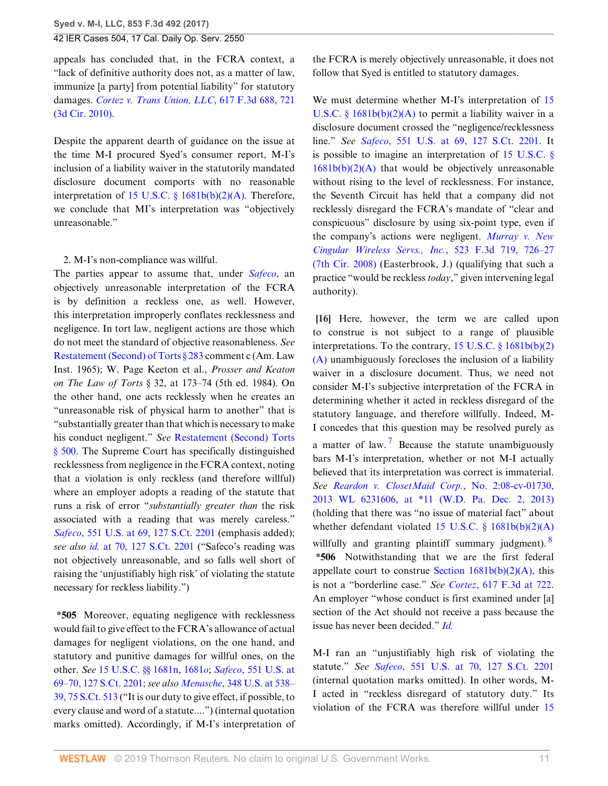appeals has concluded that, in the FCRA context, a "lack of definitive authority does not, as a matter of law, immunize [a party] from potential liability" for statutory damages. *[Cortez v. Trans Union, LLC](http://www.westlaw.com/Link/Document/FullText?findType=Y&serNum=2022767654&pubNum=0000506&originatingDoc=I34acc4f00de111e79277eb58f3dd13cc&refType=RP&fi=co_pp_sp_506_721&originationContext=document&vr=3.0&rs=cblt1.0&transitionType=DocumentItem&contextData=(sc.Default)#co_pp_sp_506_721)*, 617 F.3d 688, 721 [\(3d Cir. 2010\).](http://www.westlaw.com/Link/Document/FullText?findType=Y&serNum=2022767654&pubNum=0000506&originatingDoc=I34acc4f00de111e79277eb58f3dd13cc&refType=RP&fi=co_pp_sp_506_721&originationContext=document&vr=3.0&rs=cblt1.0&transitionType=DocumentItem&contextData=(sc.Default)#co_pp_sp_506_721)

Despite the apparent dearth of guidance on the issue at the time M-I procured Syed's consumer report, M-I's inclusion of a liability waiver in the statutorily mandated disclosure document comports with no reasonable interpretation of [15 U.S.C. § 1681b\(b\)\(2\)\(A\)](http://www.westlaw.com/Link/Document/FullText?findType=L&pubNum=1000546&cite=15USCAS1681B&originatingDoc=I34acc4f00de111e79277eb58f3dd13cc&refType=SP&originationContext=document&vr=3.0&rs=cblt1.0&transitionType=DocumentItem&contextData=(sc.Default)#co_pp_1eca000045f07). Therefore, we conclude that MI's interpretation was "objectively unreasonable."

#### 2. M-I's non-compliance was willful.

The parties appear to assume that, under *[Safeco](http://www.westlaw.com/Link/Document/FullText?findType=Y&serNum=2012395817&pubNum=0000780&originatingDoc=I34acc4f00de111e79277eb58f3dd13cc&refType=RP&originationContext=document&vr=3.0&rs=cblt1.0&transitionType=DocumentItem&contextData=(sc.Default))*, an objectively unreasonable interpretation of the FCRA is by definition a reckless one, as well. However, this interpretation improperly conflates recklessness and negligence. In tort law, negligent actions are those which do not meet the standard of objective reasonableness. *See* [Restatement \(Second\) of Torts § 283](http://www.westlaw.com/Link/Document/FullText?findType=Y&serNum=0290694001&pubNum=0101577&originatingDoc=I34acc4f00de111e79277eb58f3dd13cc&refType=TS&originationContext=document&vr=3.0&rs=cblt1.0&transitionType=DocumentItem&contextData=(sc.Default)) comment c (Am. Law Inst. 1965); W. Page Keeton et al., *Prosser and Keaton on The Law of Torts* § 32, at 173–74 (5th ed. 1984). On the other hand, one acts recklessly when he creates an "unreasonable risk of physical harm to another" that is "substantially greater than that which is necessary to make his conduct negligent." *See* [Restatement \(Second\) Torts](http://www.westlaw.com/Link/Document/FullText?findType=Y&serNum=0294806421&pubNum=0101577&originatingDoc=I34acc4f00de111e79277eb58f3dd13cc&refType=TS&originationContext=document&vr=3.0&rs=cblt1.0&transitionType=DocumentItem&contextData=(sc.Default)) [§ 500](http://www.westlaw.com/Link/Document/FullText?findType=Y&serNum=0294806421&pubNum=0101577&originatingDoc=I34acc4f00de111e79277eb58f3dd13cc&refType=TS&originationContext=document&vr=3.0&rs=cblt1.0&transitionType=DocumentItem&contextData=(sc.Default)). The Supreme Court has specifically distinguished recklessness from negligence in the FCRA context, noting that a violation is only reckless (and therefore willful) where an employer adopts a reading of the statute that runs a risk of error "*substantially greater than* the risk associated with a reading that was merely careless." *Safeco*[, 551 U.S. at 69, 127 S.Ct. 2201](http://www.westlaw.com/Link/Document/FullText?findType=Y&serNum=2012395817&pubNum=0000708&originatingDoc=I34acc4f00de111e79277eb58f3dd13cc&refType=RP&originationContext=document&vr=3.0&rs=cblt1.0&transitionType=DocumentItem&contextData=(sc.Default)) (emphasis added); *see also id.* [at 70, 127 S.Ct. 2201](http://www.westlaw.com/Link/Document/FullText?findType=Y&serNum=2012395817&pubNum=0000708&originatingDoc=I34acc4f00de111e79277eb58f3dd13cc&refType=RP&originationContext=document&vr=3.0&rs=cblt1.0&transitionType=DocumentItem&contextData=(sc.Default)) ("Safeco's reading was not objectively unreasonable, and so falls well short of raising the 'unjustifiably high risk' of violating the statute necessary for reckless liability.")

**\*505** Moreover, equating negligence with recklessness would fail to give effect to the FCRA's allowance of actual damages for negligent violations, on the one hand, and statutory and punitive damages for willful ones, on the other. *See* [15 U.S.C. §§ 1681n,](http://www.westlaw.com/Link/Document/FullText?findType=L&pubNum=1000546&cite=15USCAS1681N&originatingDoc=I34acc4f00de111e79277eb58f3dd13cc&refType=LQ&originationContext=document&vr=3.0&rs=cblt1.0&transitionType=DocumentItem&contextData=(sc.Default)) [1681](http://www.westlaw.com/Link/Document/FullText?findType=L&pubNum=1000546&cite=15USCAS1681O&originatingDoc=I34acc4f00de111e79277eb58f3dd13cc&refType=LQ&originationContext=document&vr=3.0&rs=cblt1.0&transitionType=DocumentItem&contextData=(sc.Default))*o*; *Safeco*[, 551 U.S. at](http://www.westlaw.com/Link/Document/FullText?findType=Y&serNum=2012395817&pubNum=0000708&originatingDoc=I34acc4f00de111e79277eb58f3dd13cc&refType=RP&originationContext=document&vr=3.0&rs=cblt1.0&transitionType=DocumentItem&contextData=(sc.Default)) [69–70, 127 S.Ct. 2201](http://www.westlaw.com/Link/Document/FullText?findType=Y&serNum=2012395817&pubNum=0000708&originatingDoc=I34acc4f00de111e79277eb58f3dd13cc&refType=RP&originationContext=document&vr=3.0&rs=cblt1.0&transitionType=DocumentItem&contextData=(sc.Default)); *see also Menasche*[, 348 U.S. at 538–](http://www.westlaw.com/Link/Document/FullText?findType=Y&serNum=1955121370&pubNum=0000708&originatingDoc=I34acc4f00de111e79277eb58f3dd13cc&refType=RP&originationContext=document&vr=3.0&rs=cblt1.0&transitionType=DocumentItem&contextData=(sc.Default)) [39, 75 S.Ct. 513](http://www.westlaw.com/Link/Document/FullText?findType=Y&serNum=1955121370&pubNum=0000708&originatingDoc=I34acc4f00de111e79277eb58f3dd13cc&refType=RP&originationContext=document&vr=3.0&rs=cblt1.0&transitionType=DocumentItem&contextData=(sc.Default)) ("It is our duty to give effect, if possible, to every clause and word of a statute....") (internal quotation marks omitted). Accordingly, if M-I's interpretation of

the FCRA is merely objectively unreasonable, it does not follow that Syed is entitled to statutory damages.

We must determine whether M-I's interpretation of [15](http://www.westlaw.com/Link/Document/FullText?findType=L&pubNum=1000546&cite=15USCAS1681B&originatingDoc=I34acc4f00de111e79277eb58f3dd13cc&refType=SP&originationContext=document&vr=3.0&rs=cblt1.0&transitionType=DocumentItem&contextData=(sc.Default)#co_pp_1eca000045f07) U.S.C. §  $1681b(b)(2)(A)$  to permit a liability waiver in a disclosure document crossed the "negligence/recklessness line." *See Safeco*[, 551 U.S. at 69, 127 S.Ct. 2201.](http://www.westlaw.com/Link/Document/FullText?findType=Y&serNum=2012395817&pubNum=0000708&originatingDoc=I34acc4f00de111e79277eb58f3dd13cc&refType=RP&originationContext=document&vr=3.0&rs=cblt1.0&transitionType=DocumentItem&contextData=(sc.Default)) It is possible to imagine an interpretation of [15 U.S.C. §](http://www.westlaw.com/Link/Document/FullText?findType=L&pubNum=1000546&cite=15USCAS1681B&originatingDoc=I34acc4f00de111e79277eb58f3dd13cc&refType=SP&originationContext=document&vr=3.0&rs=cblt1.0&transitionType=DocumentItem&contextData=(sc.Default)#co_pp_1eca000045f07)  $1681b(b)(2)(A)$  that would be objectively unreasonable without rising to the level of recklessness. For instance, the Seventh Circuit has held that a company did not recklessly disregard the FCRA's mandate of "clear and conspicuous" disclosure by using six-point type, even if the company's actions were negligent. *[Murray v. New](http://www.westlaw.com/Link/Document/FullText?findType=Y&serNum=2015782213&pubNum=0000506&originatingDoc=I34acc4f00de111e79277eb58f3dd13cc&refType=RP&fi=co_pp_sp_506_726&originationContext=document&vr=3.0&rs=cblt1.0&transitionType=DocumentItem&contextData=(sc.Default)#co_pp_sp_506_726) [Cingular Wireless Servs., Inc.](http://www.westlaw.com/Link/Document/FullText?findType=Y&serNum=2015782213&pubNum=0000506&originatingDoc=I34acc4f00de111e79277eb58f3dd13cc&refType=RP&fi=co_pp_sp_506_726&originationContext=document&vr=3.0&rs=cblt1.0&transitionType=DocumentItem&contextData=(sc.Default)#co_pp_sp_506_726)*, 523 F.3d 719, 726–27 [\(7th Cir. 2008\)](http://www.westlaw.com/Link/Document/FullText?findType=Y&serNum=2015782213&pubNum=0000506&originatingDoc=I34acc4f00de111e79277eb58f3dd13cc&refType=RP&fi=co_pp_sp_506_726&originationContext=document&vr=3.0&rs=cblt1.0&transitionType=DocumentItem&contextData=(sc.Default)#co_pp_sp_506_726) (Easterbrook, J.) (qualifying that such a practice "would be reckless *today*," given intervening legal authority).

<span id="page-10-1"></span><span id="page-10-0"></span>**[\[16](#page-2-5)]** Here, however, the term we are called upon to construe is not subject to a range of plausible interpretations. To the contrary, [15 U.S.C. § 1681b\(b\)\(2\)](http://www.westlaw.com/Link/Document/FullText?findType=L&pubNum=1000546&cite=15USCAS1681B&originatingDoc=I34acc4f00de111e79277eb58f3dd13cc&refType=SP&originationContext=document&vr=3.0&rs=cblt1.0&transitionType=DocumentItem&contextData=(sc.Default)#co_pp_1eca000045f07) [\(A\)](http://www.westlaw.com/Link/Document/FullText?findType=L&pubNum=1000546&cite=15USCAS1681B&originatingDoc=I34acc4f00de111e79277eb58f3dd13cc&refType=SP&originationContext=document&vr=3.0&rs=cblt1.0&transitionType=DocumentItem&contextData=(sc.Default)#co_pp_1eca000045f07) unambiguously forecloses the inclusion of a liability waiver in a disclosure document. Thus, we need not consider M-I's subjective interpretation of the FCRA in determining whether it acted in reckless disregard of the statutory language, and therefore willfully. Indeed, M-I concedes that this question may be resolved purely as a matter of law.<sup>[7](#page-13-2)</sup> Because the statute unambiguously bars M-I's interpretation, whether or not M-I actually believed that its interpretation was correct is immaterial. *See [Reardon v. ClosetMaid Corp.](http://www.westlaw.com/Link/Document/FullText?findType=Y&serNum=2032188591&pubNum=0000999&originatingDoc=I34acc4f00de111e79277eb58f3dd13cc&refType=RP&originationContext=document&vr=3.0&rs=cblt1.0&transitionType=DocumentItem&contextData=(sc.Default))*, No. 2:08-cv-01730, [2013 WL 6231606, at \\*11 \(W.D. Pa. Dec. 2, 2013\)](http://www.westlaw.com/Link/Document/FullText?findType=Y&serNum=2032188591&pubNum=0000999&originatingDoc=I34acc4f00de111e79277eb58f3dd13cc&refType=RP&originationContext=document&vr=3.0&rs=cblt1.0&transitionType=DocumentItem&contextData=(sc.Default)) (holding that there was "no issue of material fact" about whether defendant violated [15 U.S.C. § 1681b\(b\)\(2\)\(A\)](http://www.westlaw.com/Link/Document/FullText?findType=L&pubNum=1000546&cite=15USCAS1681B&originatingDoc=I34acc4f00de111e79277eb58f3dd13cc&refType=SP&originationContext=document&vr=3.0&rs=cblt1.0&transitionType=DocumentItem&contextData=(sc.Default)#co_pp_1eca000045f07) willfully and granting plaintiff summary judgment). <sup>[8](#page-13-3)</sup> **\*506** Notwithstanding that we are the first federal appellate court to construe Section  $1681b(b)(2)(A)$ , this is not a "borderline case." *See Cortez*[, 617 F.3d at 722](http://www.westlaw.com/Link/Document/FullText?findType=Y&serNum=2022767654&pubNum=0000506&originatingDoc=I34acc4f00de111e79277eb58f3dd13cc&refType=RP&fi=co_pp_sp_506_722&originationContext=document&vr=3.0&rs=cblt1.0&transitionType=DocumentItem&contextData=(sc.Default)#co_pp_sp_506_722). An employer "whose conduct is first examined under [a] section of the Act should not receive a pass because the issue has never been decided." *[Id.](http://www.westlaw.com/Link/Document/FullText?findType=Y&serNum=2022767654&pubNum=0000506&originatingDoc=I34acc4f00de111e79277eb58f3dd13cc&refType=RP&originationContext=document&vr=3.0&rs=cblt1.0&transitionType=DocumentItem&contextData=(sc.Default))*

<span id="page-10-2"></span>M-I ran an "unjustifiably high risk of violating the statute." *See Safeco*[, 551 U.S. at 70, 127 S.Ct. 2201](http://www.westlaw.com/Link/Document/FullText?findType=Y&serNum=2012395817&pubNum=0000708&originatingDoc=I34acc4f00de111e79277eb58f3dd13cc&refType=RP&originationContext=document&vr=3.0&rs=cblt1.0&transitionType=DocumentItem&contextData=(sc.Default)) (internal quotation marks omitted). In other words, M-I acted in "reckless disregard of statutory duty." Its violation of the FCRA was therefore willful under [15](http://www.westlaw.com/Link/Document/FullText?findType=L&pubNum=1000546&cite=15USCAS1681N&originatingDoc=I34acc4f00de111e79277eb58f3dd13cc&refType=LQ&originationContext=document&vr=3.0&rs=cblt1.0&transitionType=DocumentItem&contextData=(sc.Default))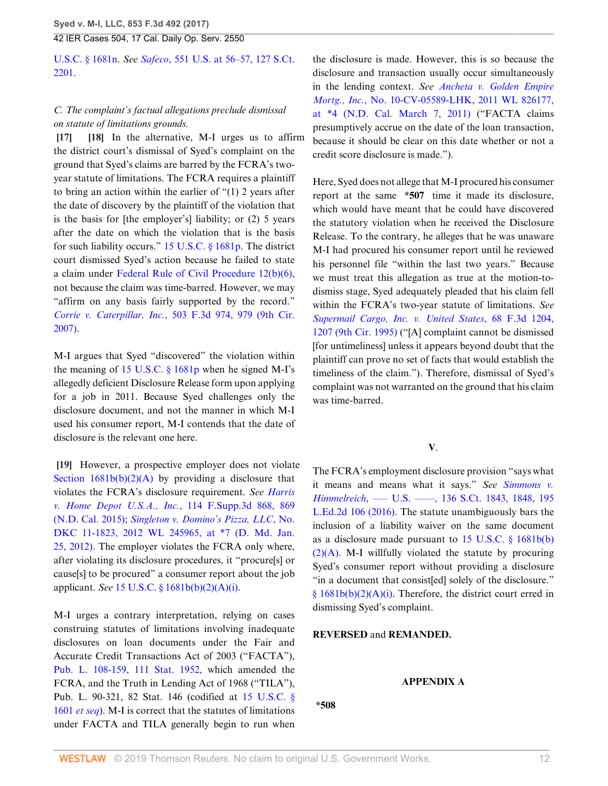[U.S.C. § 1681n](http://www.westlaw.com/Link/Document/FullText?findType=L&pubNum=1000546&cite=15USCAS1681N&originatingDoc=I34acc4f00de111e79277eb58f3dd13cc&refType=LQ&originationContext=document&vr=3.0&rs=cblt1.0&transitionType=DocumentItem&contextData=(sc.Default)). *See Safeco*[, 551 U.S. at 56–57, 127 S.Ct.](http://www.westlaw.com/Link/Document/FullText?findType=Y&serNum=2012395817&pubNum=0000708&originatingDoc=I34acc4f00de111e79277eb58f3dd13cc&refType=RP&originationContext=document&vr=3.0&rs=cblt1.0&transitionType=DocumentItem&contextData=(sc.Default)) [2201](http://www.westlaw.com/Link/Document/FullText?findType=Y&serNum=2012395817&pubNum=0000708&originatingDoc=I34acc4f00de111e79277eb58f3dd13cc&refType=RP&originationContext=document&vr=3.0&rs=cblt1.0&transitionType=DocumentItem&contextData=(sc.Default)).

# *C. The complaint's factual allegations preclude dismissal on statute of limitations grounds.*

<span id="page-11-1"></span><span id="page-11-0"></span>**[\[17](#page-2-1)] [\[18\]](#page-3-0)** In the alternative, M-I urges us to affirm the district court's dismissal of Syed's complaint on the ground that Syed's claims are barred by the FCRA's twoyear statute of limitations. The FCRA requires a plaintiff to bring an action within the earlier of "(1) 2 years after the date of discovery by the plaintiff of the violation that is the basis for [the employer's] liability; or (2) 5 years after the date on which the violation that is the basis for such liability occurs." [15 U.S.C. § 1681p](http://www.westlaw.com/Link/Document/FullText?findType=L&pubNum=1000546&cite=15USCAS1681P&originatingDoc=I34acc4f00de111e79277eb58f3dd13cc&refType=LQ&originationContext=document&vr=3.0&rs=cblt1.0&transitionType=DocumentItem&contextData=(sc.Default)). The district court dismissed Syed's action because he failed to state a claim under [Federal Rule of Civil Procedure 12\(b\)\(6\)](http://www.westlaw.com/Link/Document/FullText?findType=L&pubNum=1000600&cite=USFRCPR12&originatingDoc=I34acc4f00de111e79277eb58f3dd13cc&refType=LQ&originationContext=document&vr=3.0&rs=cblt1.0&transitionType=DocumentItem&contextData=(sc.Default)), not because the claim was time-barred. However, we may "affirm on any basis fairly supported by the record." *Corrie v. Caterpillar, Inc.*[, 503 F.3d 974, 979 \(9th Cir.](http://www.westlaw.com/Link/Document/FullText?findType=Y&serNum=2013188929&pubNum=0000506&originatingDoc=I34acc4f00de111e79277eb58f3dd13cc&refType=RP&fi=co_pp_sp_506_979&originationContext=document&vr=3.0&rs=cblt1.0&transitionType=DocumentItem&contextData=(sc.Default)#co_pp_sp_506_979) [2007\)](http://www.westlaw.com/Link/Document/FullText?findType=Y&serNum=2013188929&pubNum=0000506&originatingDoc=I34acc4f00de111e79277eb58f3dd13cc&refType=RP&fi=co_pp_sp_506_979&originationContext=document&vr=3.0&rs=cblt1.0&transitionType=DocumentItem&contextData=(sc.Default)#co_pp_sp_506_979).

M-I argues that Syed "discovered" the violation within the meaning of [15 U.S.C. § 1681p](http://www.westlaw.com/Link/Document/FullText?findType=L&pubNum=1000546&cite=15USCAS1681P&originatingDoc=I34acc4f00de111e79277eb58f3dd13cc&refType=LQ&originationContext=document&vr=3.0&rs=cblt1.0&transitionType=DocumentItem&contextData=(sc.Default)) when he signed M-I's allegedly deficient Disclosure Release form upon applying for a job in 2011. Because Syed challenges only the disclosure document, and not the manner in which M-I used his consumer report, M-I contends that the date of disclosure is the relevant one here.

<span id="page-11-2"></span>**[\[19](#page-3-1)]** However, a prospective employer does not violate Section  $1681b(b)(2)(A)$  by providing a disclosure that violates the FCRA's disclosure requirement. *See [Harris](http://www.westlaw.com/Link/Document/FullText?findType=Y&serNum=2036701669&pubNum=0007903&originatingDoc=I34acc4f00de111e79277eb58f3dd13cc&refType=RP&fi=co_pp_sp_7903_869&originationContext=document&vr=3.0&rs=cblt1.0&transitionType=DocumentItem&contextData=(sc.Default)#co_pp_sp_7903_869) [v. Home Depot U.S.A., Inc.](http://www.westlaw.com/Link/Document/FullText?findType=Y&serNum=2036701669&pubNum=0007903&originatingDoc=I34acc4f00de111e79277eb58f3dd13cc&refType=RP&fi=co_pp_sp_7903_869&originationContext=document&vr=3.0&rs=cblt1.0&transitionType=DocumentItem&contextData=(sc.Default)#co_pp_sp_7903_869)*, 114 F.Supp.3d 868, 869 [\(N.D. Cal. 2015\);](http://www.westlaw.com/Link/Document/FullText?findType=Y&serNum=2036701669&pubNum=0007903&originatingDoc=I34acc4f00de111e79277eb58f3dd13cc&refType=RP&fi=co_pp_sp_7903_869&originationContext=document&vr=3.0&rs=cblt1.0&transitionType=DocumentItem&contextData=(sc.Default)#co_pp_sp_7903_869) *[Singleton v. Domino's Pizza, LLC](http://www.westlaw.com/Link/Document/FullText?findType=Y&serNum=2026938569&pubNum=0000999&originatingDoc=I34acc4f00de111e79277eb58f3dd13cc&refType=RP&originationContext=document&vr=3.0&rs=cblt1.0&transitionType=DocumentItem&contextData=(sc.Default))*, No. [DKC 11-1823, 2012 WL 245965, at \\*7 \(D. Md. Jan.](http://www.westlaw.com/Link/Document/FullText?findType=Y&serNum=2026938569&pubNum=0000999&originatingDoc=I34acc4f00de111e79277eb58f3dd13cc&refType=RP&originationContext=document&vr=3.0&rs=cblt1.0&transitionType=DocumentItem&contextData=(sc.Default)) [25, 2012\)](http://www.westlaw.com/Link/Document/FullText?findType=Y&serNum=2026938569&pubNum=0000999&originatingDoc=I34acc4f00de111e79277eb58f3dd13cc&refType=RP&originationContext=document&vr=3.0&rs=cblt1.0&transitionType=DocumentItem&contextData=(sc.Default)). The employer violates the FCRA only where, after violating its disclosure procedures, it "procure[s] or cause[s] to be procured" a consumer report about the job applicant. *See* [15 U.S.C. § 1681b\(b\)\(2\)\(A\)\(i\).](http://www.westlaw.com/Link/Document/FullText?findType=L&pubNum=1000546&cite=15USCAS1681B&originatingDoc=I34acc4f00de111e79277eb58f3dd13cc&refType=SP&originationContext=document&vr=3.0&rs=cblt1.0&transitionType=DocumentItem&contextData=(sc.Default)#co_pp_226a0000d5fe7)

M-I urges a contrary interpretation, relying on cases construing statutes of limitations involving inadequate disclosures on loan documents under the Fair and Accurate Credit Transactions Act of 2003 ("FACTA"), [Pub. L. 108-159, 111 Stat. 1952,](http://www.westlaw.com/Link/Document/FullText?findType=l&pubNum=1077005&cite=UUID(IC71DD84AB7-CA4B60B2783-F5A273658D2)&originatingDoc=I34acc4f00de111e79277eb58f3dd13cc&refType=SL&originationContext=document&vr=3.0&rs=cblt1.0&transitionType=DocumentItem&contextData=(sc.Default)) which amended the FCRA, and the Truth in Lending Act of 1968 ("TILA"), Pub. L. 90-321, 82 Stat. 146 (codified at [15 U.S.C. §](http://www.westlaw.com/Link/Document/FullText?findType=L&pubNum=1000546&cite=15USCAS1601&originatingDoc=I34acc4f00de111e79277eb58f3dd13cc&refType=LQ&originationContext=document&vr=3.0&rs=cblt1.0&transitionType=DocumentItem&contextData=(sc.Default)) 1601 *[et seq](http://www.westlaw.com/Link/Document/FullText?findType=L&pubNum=1000546&cite=15USCAS1601&originatingDoc=I34acc4f00de111e79277eb58f3dd13cc&refType=LQ&originationContext=document&vr=3.0&rs=cblt1.0&transitionType=DocumentItem&contextData=(sc.Default))*). M-I is correct that the statutes of limitations under FACTA and TILA generally begin to run when

the disclosure is made. However, this is so because the disclosure and transaction usually occur simultaneously in the lending context. *See [Ancheta v. Golden Empire](http://www.westlaw.com/Link/Document/FullText?findType=Y&serNum=2024760852&pubNum=0000999&originatingDoc=I34acc4f00de111e79277eb58f3dd13cc&refType=RP&originationContext=document&vr=3.0&rs=cblt1.0&transitionType=DocumentItem&contextData=(sc.Default)) Mortg., Inc.*[, No. 10-CV-05589-LHK, 2011 WL 826177,](http://www.westlaw.com/Link/Document/FullText?findType=Y&serNum=2024760852&pubNum=0000999&originatingDoc=I34acc4f00de111e79277eb58f3dd13cc&refType=RP&originationContext=document&vr=3.0&rs=cblt1.0&transitionType=DocumentItem&contextData=(sc.Default)) [at \\*4 \(N.D. Cal. March 7, 2011\)](http://www.westlaw.com/Link/Document/FullText?findType=Y&serNum=2024760852&pubNum=0000999&originatingDoc=I34acc4f00de111e79277eb58f3dd13cc&refType=RP&originationContext=document&vr=3.0&rs=cblt1.0&transitionType=DocumentItem&contextData=(sc.Default)) ("FACTA claims presumptively accrue on the date of the loan transaction, because it should be clear on this date whether or not a credit score disclosure is made.").

Here, Syed does not allege that M-I procured his consumer report at the same **\*507** time it made its disclosure, which would have meant that he could have discovered the statutory violation when he received the Disclosure Release. To the contrary, he alleges that he was unaware M-I had procured his consumer report until he reviewed his personnel file "within the last two years." Because we must treat this allegation as true at the motion-todismiss stage, Syed adequately pleaded that his claim fell within the FCRA's two-year statute of limitations. *See [Supermail Cargo, Inc. v. United States](http://www.westlaw.com/Link/Document/FullText?findType=Y&serNum=1995212051&pubNum=0000506&originatingDoc=I34acc4f00de111e79277eb58f3dd13cc&refType=RP&fi=co_pp_sp_506_1207&originationContext=document&vr=3.0&rs=cblt1.0&transitionType=DocumentItem&contextData=(sc.Default)#co_pp_sp_506_1207)*, 68 F.3d 1204, [1207 \(9th Cir. 1995\)](http://www.westlaw.com/Link/Document/FullText?findType=Y&serNum=1995212051&pubNum=0000506&originatingDoc=I34acc4f00de111e79277eb58f3dd13cc&refType=RP&fi=co_pp_sp_506_1207&originationContext=document&vr=3.0&rs=cblt1.0&transitionType=DocumentItem&contextData=(sc.Default)#co_pp_sp_506_1207) ("[A] complaint cannot be dismissed [for untimeliness] unless it appears beyond doubt that the plaintiff can prove no set of facts that would establish the timeliness of the claim."). Therefore, dismissal of Syed's complaint was not warranted on the ground that his claim was time-barred.

## **V**.

The FCRA's employment disclosure provision "says what it means and means what it says." *See [Simmons v.](http://www.westlaw.com/Link/Document/FullText?findType=Y&serNum=2039084378&pubNum=0000708&originatingDoc=I34acc4f00de111e79277eb58f3dd13cc&refType=RP&fi=co_pp_sp_708_1848&originationContext=document&vr=3.0&rs=cblt1.0&transitionType=DocumentItem&contextData=(sc.Default)#co_pp_sp_708_1848) Himmelreich*, — U.S. — , 136 S.Ct. 1843, 1848, 195 [L.Ed.2d 106 \(2016\).](http://www.westlaw.com/Link/Document/FullText?findType=Y&serNum=2039084378&pubNum=0000708&originatingDoc=I34acc4f00de111e79277eb58f3dd13cc&refType=RP&fi=co_pp_sp_708_1848&originationContext=document&vr=3.0&rs=cblt1.0&transitionType=DocumentItem&contextData=(sc.Default)#co_pp_sp_708_1848) The statute unambiguously bars the inclusion of a liability waiver on the same document as a disclosure made pursuant to [15 U.S.C. § 1681b\(b\)](http://www.westlaw.com/Link/Document/FullText?findType=L&pubNum=1000546&cite=15USCAS1681B&originatingDoc=I34acc4f00de111e79277eb58f3dd13cc&refType=SP&originationContext=document&vr=3.0&rs=cblt1.0&transitionType=DocumentItem&contextData=(sc.Default)#co_pp_1eca000045f07)  $(2)(A)$ . M-I willfully violated the statute by procuring Syed's consumer report without providing a disclosure "in a document that consist[ed] solely of the disclosure."  $§ 1681b(b)(2)(A)(i)$ . Therefore, the district court erred in dismissing Syed's complaint.

### **REVERSED** and **REMANDED.**

### **APPENDIX A**

**\*508**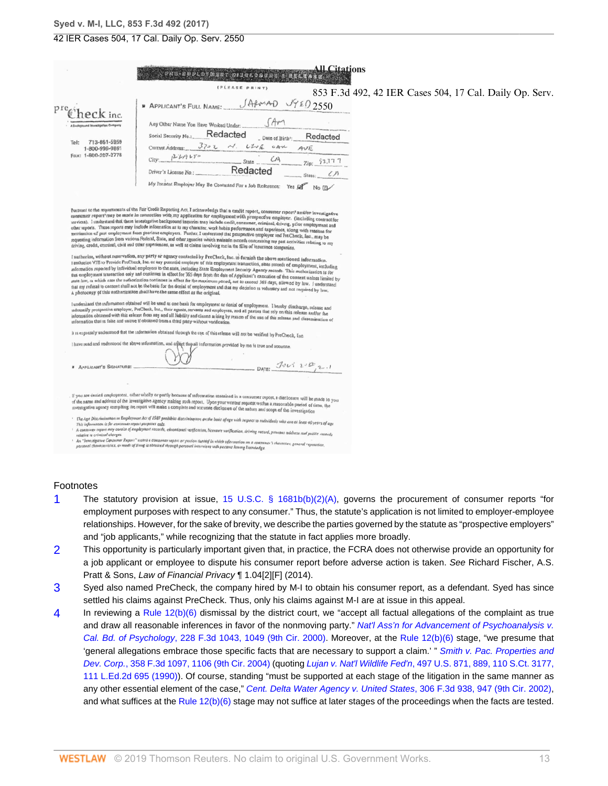#### **Syed v. M-I, LLC, 853 F.3d 492 (2017)**

## 42 IER Cases 504, 17 Cal. Daily Op. Serv. 2550

|                                                               | <b>All Citations</b><br>記 照 4 到 期 30 工 改 数 改                                                                                                                                                                                                                                                                                                                                                                                                                                                                                                                                                                                                                                                                                                                                                                                                                                                                                                                                              |                                                         |
|---------------------------------------------------------------|-------------------------------------------------------------------------------------------------------------------------------------------------------------------------------------------------------------------------------------------------------------------------------------------------------------------------------------------------------------------------------------------------------------------------------------------------------------------------------------------------------------------------------------------------------------------------------------------------------------------------------------------------------------------------------------------------------------------------------------------------------------------------------------------------------------------------------------------------------------------------------------------------------------------------------------------------------------------------------------------|---------------------------------------------------------|
|                                                               | (PLEASE PRINT)                                                                                                                                                                                                                                                                                                                                                                                                                                                                                                                                                                                                                                                                                                                                                                                                                                                                                                                                                                            |                                                         |
|                                                               |                                                                                                                                                                                                                                                                                                                                                                                                                                                                                                                                                                                                                                                                                                                                                                                                                                                                                                                                                                                           | 853 F.3d 492, 42 IER Cases 504, 17 Cal. Daily Op. Serv. |
| pre<br>$ec$ $k$ inc.                                          | JAFMAD YFED2550<br><b>APPLICANT'S FULL NAME:</b>                                                                                                                                                                                                                                                                                                                                                                                                                                                                                                                                                                                                                                                                                                                                                                                                                                                                                                                                          |                                                         |
| A Background Investigation Company                            | Any Other Name You Have Worked Under:                                                                                                                                                                                                                                                                                                                                                                                                                                                                                                                                                                                                                                                                                                                                                                                                                                                                                                                                                     |                                                         |
| 713-861-5959<br>Tel:<br>1-800-999-9861<br>Fax: 1-800-207-2778 | Redacted<br>Social Security No.:<br>Redacted<br>Date of Birth                                                                                                                                                                                                                                                                                                                                                                                                                                                                                                                                                                                                                                                                                                                                                                                                                                                                                                                             |                                                         |
|                                                               | Current Address: 3722 N. LIVE CAR<br>AVF                                                                                                                                                                                                                                                                                                                                                                                                                                                                                                                                                                                                                                                                                                                                                                                                                                                                                                                                                  |                                                         |
|                                                               | 12.141170<br>$S$ tate $CA$ $Zip: 92.777$                                                                                                                                                                                                                                                                                                                                                                                                                                                                                                                                                                                                                                                                                                                                                                                                                                                                                                                                                  |                                                         |
|                                                               | Redacted State: C/I<br>Driver's License No.:                                                                                                                                                                                                                                                                                                                                                                                                                                                                                                                                                                                                                                                                                                                                                                                                                                                                                                                                              |                                                         |
|                                                               | My Present Employer May Be Contacted For a Job Reference: Yes La No ID                                                                                                                                                                                                                                                                                                                                                                                                                                                                                                                                                                                                                                                                                                                                                                                                                                                                                                                    |                                                         |
|                                                               |                                                                                                                                                                                                                                                                                                                                                                                                                                                                                                                                                                                                                                                                                                                                                                                                                                                                                                                                                                                           |                                                         |
|                                                               | Pursuant to the requirements of the Fair Credit Reporting Act, I acknowledge that a credit report, consumer report' anti/or investigative<br>consumer report may be made in connection with my application for employment with prospective employer. (including contract for<br>services). I understand that these investigative background inquiries may include aredit, consumer, criminal, driving, prior employment and<br>other teports. These reports may include information as to my character, work hubits performance and experience, along with reasons for<br>termination of past employment from previous employers. Further, I understand that prospective employer and PreCheck, Inc., may be<br>requesting information from various Federal, State, and other agencies which maintain records concerning my past activities relating to my<br>driving, credit, criminal, civil and other experiences, as well as claims involving me in the files of insurance companies. |                                                         |
|                                                               | I authorize, without reservation, any party or agency contacted by PreCheck, Inc. to furnish the above mentioned information.<br>I authorize VIB to Provide PreCheck, Inc. or any potential employer of this employment transaction, state records of employment, including<br>information reported by individual employers to the state, including State Employment Security Agency records. This authorization is for<br>thus employment transaction only and continues in effect for 365 days from the date of Applicant's execution of that consent unless limited by<br>state law, in which case the authorization continues in effect for the maximum pened, not to exceed 365 days, allowed by law. I understand<br>that my refusal to consent shall not be the basis for the denial of employment and that my decision is voluntary and not required by law.<br>A photocopy of this authorization shall have the same effect as the original.                                     |                                                         |
|                                                               | I understand the information obtained will be used as one basis for employment or denial of employment. I hereby discharge, release and<br>indetentify prospective employer, PreCheck, Inc., their agents, servants and employees, and all parties that rely on this release and/or the<br>information obtained with this release from any and all hability and clasms arising by reason of the use of this release and dissemination of<br>information that is false and entrue if obtained from a third party-without verification.                                                                                                                                                                                                                                                                                                                                                                                                                                                     |                                                         |
|                                                               | It is expressly understood that the information obtained through the use of this release will not be verified by PreCheck, Inc.                                                                                                                                                                                                                                                                                                                                                                                                                                                                                                                                                                                                                                                                                                                                                                                                                                                           |                                                         |
|                                                               | I have read and understood the above information, and assigt thanall information provided by me is true and accurate.                                                                                                                                                                                                                                                                                                                                                                                                                                                                                                                                                                                                                                                                                                                                                                                                                                                                     |                                                         |
| <b># APPLICANT'S SIGNATURE:</b>                               | DATE: $J_{2}u_{1}^{2}u_{2}u_{1}^{3}$                                                                                                                                                                                                                                                                                                                                                                                                                                                                                                                                                                                                                                                                                                                                                                                                                                                                                                                                                      |                                                         |
|                                                               |                                                                                                                                                                                                                                                                                                                                                                                                                                                                                                                                                                                                                                                                                                                                                                                                                                                                                                                                                                                           |                                                         |
|                                                               | If you are denied employment, either wholly or partly because of information contained in a consumer report, a disclosure will be made to you<br>of the name and address of the investigative agency making such report. Upon your written request within a reasonable pariod of time, the<br>investigative agency compiling the report will make a complete and accurate disclosure of the nature and scope of the investigation                                                                                                                                                                                                                                                                                                                                                                                                                                                                                                                                                         |                                                         |
|                                                               | · The Age Discrimination in Employment Act of 1987 prohibies discrimination on the basis of age with respect to milividents who are at least 40 years of age<br>The system of may consist of employment records, educational verification, licensure verification, driving record, previous address and public records                                                                                                                                                                                                                                                                                                                                                                                                                                                                                                                                                                                                                                                                    |                                                         |
| relative to criminal charges.                                 | An "Investigative Consumer Report" institut a consumer report or postion thereof in which information on a container's character, general reputation<br>personal chanacteristics, or mode of living is obtained through personal interviews with persons having Entroledge.                                                                                                                                                                                                                                                                                                                                                                                                                                                                                                                                                                                                                                                                                                               |                                                         |

#### Footnotes

- <span id="page-12-0"></span>[1](#page-4-0) The statutory provision at issue, [15 U.S.C. § 1681b\(b\)\(2\)\(A\)](http://www.westlaw.com/Link/Document/FullText?findType=L&pubNum=1000546&cite=15USCAS1681B&originatingDoc=I34acc4f00de111e79277eb58f3dd13cc&refType=SP&originationContext=document&vr=3.0&rs=cblt1.0&transitionType=DocumentItem&contextData=(sc.Default)#co_pp_1eca000045f07), governs the procurement of consumer reports "for employment purposes with respect to any consumer." Thus, the statute's application is not limited to employer-employee relationships. However, for the sake of brevity, we describe the parties governed by the statute as "prospective employers" and "job applicants," while recognizing that the statute in fact applies more broadly.
- <span id="page-12-1"></span>[2](#page-4-1) This opportunity is particularly important given that, in practice, the FCRA does not otherwise provide an opportunity for a job applicant or employee to dispute his consumer report before adverse action is taken. See Richard Fischer, A.S. Pratt & Sons, Law of Financial Privacy ¶ 1.04[2][F] (2014).
- <span id="page-12-2"></span>[3](#page-5-0) Syed also named PreCheck, the company hired by M-I to obtain his consumer report, as a defendant. Syed has since settled his claims against PreCheck. Thus, only his claims against M-I are at issue in this appeal.
- <span id="page-12-3"></span>[4](#page-6-6) In reviewing a [Rule 12\(b\)\(6\)](http://www.westlaw.com/Link/Document/FullText?findType=L&pubNum=1000600&cite=USFRCPR12&originatingDoc=I34acc4f00de111e79277eb58f3dd13cc&refType=LQ&originationContext=document&vr=3.0&rs=cblt1.0&transitionType=DocumentItem&contextData=(sc.Default)) dismissal by the district court, we "accept all factual allegations of the complaint as true and draw all reasonable inferences in favor of the nonmoving party." [Nat'l Ass'n for Advancement of Psychoanalysis v.](http://www.westlaw.com/Link/Document/FullText?findType=Y&serNum=2000553174&pubNum=0000506&originatingDoc=I34acc4f00de111e79277eb58f3dd13cc&refType=RP&fi=co_pp_sp_506_1049&originationContext=document&vr=3.0&rs=cblt1.0&transitionType=DocumentItem&contextData=(sc.Default)#co_pp_sp_506_1049) Cal. Bd. of Psychology[, 228 F.3d 1043, 1049 \(9th Cir. 2000\)](http://www.westlaw.com/Link/Document/FullText?findType=Y&serNum=2000553174&pubNum=0000506&originatingDoc=I34acc4f00de111e79277eb58f3dd13cc&refType=RP&fi=co_pp_sp_506_1049&originationContext=document&vr=3.0&rs=cblt1.0&transitionType=DocumentItem&contextData=(sc.Default)#co_pp_sp_506_1049). Moreover, at the [Rule 12\(b\)\(6\)](http://www.westlaw.com/Link/Document/FullText?findType=L&pubNum=1000600&cite=USFRCPR12&originatingDoc=I34acc4f00de111e79277eb58f3dd13cc&refType=LQ&originationContext=document&vr=3.0&rs=cblt1.0&transitionType=DocumentItem&contextData=(sc.Default)) stage, "we presume that 'general allegations embrace those specific facts that are necessary to support a claim.' " [Smith v. Pac. Properties and](http://www.westlaw.com/Link/Document/FullText?findType=Y&serNum=2004087092&pubNum=0000506&originatingDoc=I34acc4f00de111e79277eb58f3dd13cc&refType=RP&fi=co_pp_sp_506_1106&originationContext=document&vr=3.0&rs=cblt1.0&transitionType=DocumentItem&contextData=(sc.Default)#co_pp_sp_506_1106) Dev. Corp.[, 358 F.3d 1097, 1106 \(9th Cir. 2004\)](http://www.westlaw.com/Link/Document/FullText?findType=Y&serNum=2004087092&pubNum=0000506&originatingDoc=I34acc4f00de111e79277eb58f3dd13cc&refType=RP&fi=co_pp_sp_506_1106&originationContext=document&vr=3.0&rs=cblt1.0&transitionType=DocumentItem&contextData=(sc.Default)#co_pp_sp_506_1106) (quoting Lujan v. Nat'l Wildlife Fed'n[, 497 U.S. 871, 889, 110 S.Ct. 3177,](http://www.westlaw.com/Link/Document/FullText?findType=Y&serNum=1990097949&pubNum=0000708&originatingDoc=I34acc4f00de111e79277eb58f3dd13cc&refType=RP&originationContext=document&vr=3.0&rs=cblt1.0&transitionType=DocumentItem&contextData=(sc.Default)) [111 L.Ed.2d 695 \(1990\)\)](http://www.westlaw.com/Link/Document/FullText?findType=Y&serNum=1990097949&pubNum=0000708&originatingDoc=I34acc4f00de111e79277eb58f3dd13cc&refType=RP&originationContext=document&vr=3.0&rs=cblt1.0&transitionType=DocumentItem&contextData=(sc.Default)). Of course, standing "must be supported at each stage of the litigation in the same manner as any other essential element of the case," [Cent. Delta Water Agency v. United States](http://www.westlaw.com/Link/Document/FullText?findType=Y&serNum=2002608673&pubNum=0000506&originatingDoc=I34acc4f00de111e79277eb58f3dd13cc&refType=RP&fi=co_pp_sp_506_947&originationContext=document&vr=3.0&rs=cblt1.0&transitionType=DocumentItem&contextData=(sc.Default)#co_pp_sp_506_947), 306 F.3d 938, 947 (9th Cir. 2002), and what suffices at the Rule  $12(b)(6)$  stage may not suffice at later stages of the proceedings when the facts are tested.